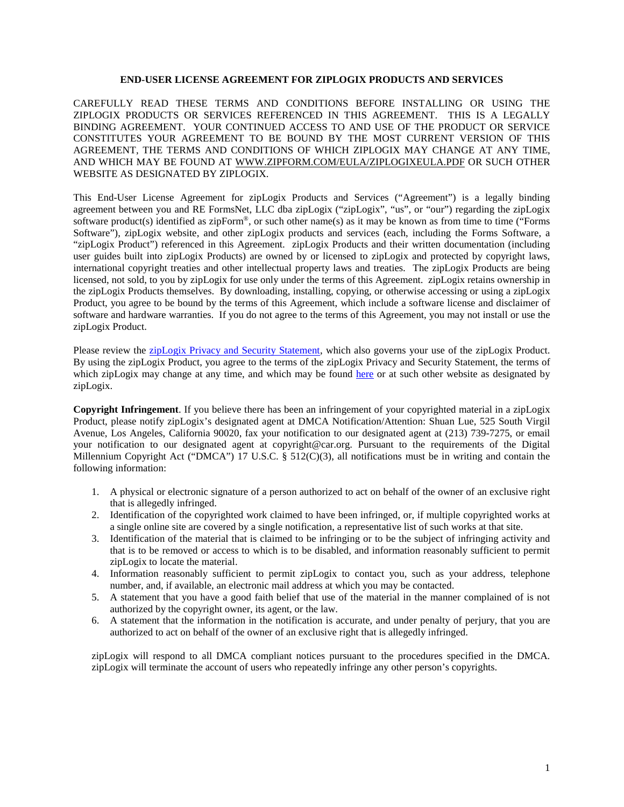#### **END-USER LICENSE AGREEMENT FOR ZIPLOGIX PRODUCTS AND SERVICES**

CAREFULLY READ THESE TERMS AND CONDITIONS BEFORE INSTALLING OR USING THE ZIPLOGIX PRODUCTS OR SERVICES REFERENCED IN THIS AGREEMENT. THIS IS A LEGALLY BINDING AGREEMENT. YOUR CONTINUED ACCESS TO AND USE OF THE PRODUCT OR SERVICE CONSTITUTES YOUR AGREEMENT TO BE BOUND BY THE MOST CURRENT VERSION OF THIS AGREEMENT, THE TERMS AND CONDITIONS OF WHICH ZIPLOGIX MAY CHANGE AT ANY TIME, AND WHICH MAY BE FOUND AT [WWW.ZIPFORM.COM/](http://www.zipform.com/)EULA/ZIPLOGIXEULA.PDF OR SUCH OTHER WEBSITE AS DESIGNATED BY ZIPLOGIX.

This End-User License Agreement for zipLogix Products and Services ("Agreement") is a legally binding agreement between you and RE FormsNet, LLC dba zipLogix ("zipLogix", "us", or "our") regarding the zipLogix software product(s) identified as zipForm®, or such other name(s) as it may be known as from time to time ("Forms Software"), zipLogix website, and other zipLogix products and services (each, including the Forms Software, a "zipLogix Product") referenced in this Agreement. zipLogix Products and their written documentation (including user guides built into zipLogix Products) are owned by or licensed to zipLogix and protected by copyright laws, international copyright treaties and other intellectual property laws and treaties. The zipLogix Products are being licensed, not sold, to you by zipLogix for use only under the terms of this Agreement. zipLogix retains ownership in the zipLogix Products themselves. By downloading, installing, copying, or otherwise accessing or using a zipLogix Product, you agree to be bound by the terms of this Agreement, which include a software license and disclaimer of software and hardware warranties. If you do not agree to the terms of this Agreement, you may not install or use the zipLogix Product.

Please review the **zipLogix Privacy and Security Statement**, which also governs your use of the zipLogix Product. By using the zipLogix Product, you agree to the terms of the zipLogix Privacy and Security Statement, the terms of which zipLogix may change at any time, and which may be found [here](https://ziplogix.com/privacy/ziplogixprivacy.pdf) or at such other website as designated by zipLogix.

**Copyright Infringement**. If you believe there has been an infringement of your copyrighted material in a zipLogix Product, please notify zipLogix's designated agent at DMCA Notification/Attention: Shuan Lue, 525 South Virgil Avenue, Los Angeles, California 90020, fax your notification to our designated agent at (213) 739-7275, or email your notification to our designated agent at copyright@car.org. Pursuant to the requirements of the Digital Millennium Copyright Act ("DMCA") 17 U.S.C. § 512(C)(3), all notifications must be in writing and contain the following information:

- 1. A physical or electronic signature of a person authorized to act on behalf of the owner of an exclusive right that is allegedly infringed.
- 2. Identification of the copyrighted work claimed to have been infringed, or, if multiple copyrighted works at a single online site are covered by a single notification, a representative list of such works at that site.
- 3. Identification of the material that is claimed to be infringing or to be the subject of infringing activity and that is to be removed or access to which is to be disabled, and information reasonably sufficient to permit zipLogix to locate the material.
- 4. Information reasonably sufficient to permit zipLogix to contact you, such as your address, telephone number, and, if available, an electronic mail address at which you may be contacted.
- 5. A statement that you have a good faith belief that use of the material in the manner complained of is not authorized by the copyright owner, its agent, or the law.
- 6. A statement that the information in the notification is accurate, and under penalty of perjury, that you are authorized to act on behalf of the owner of an exclusive right that is allegedly infringed.

zipLogix will respond to all DMCA compliant notices pursuant to the procedures specified in the DMCA. zipLogix will terminate the account of users who repeatedly infringe any other person's copyrights.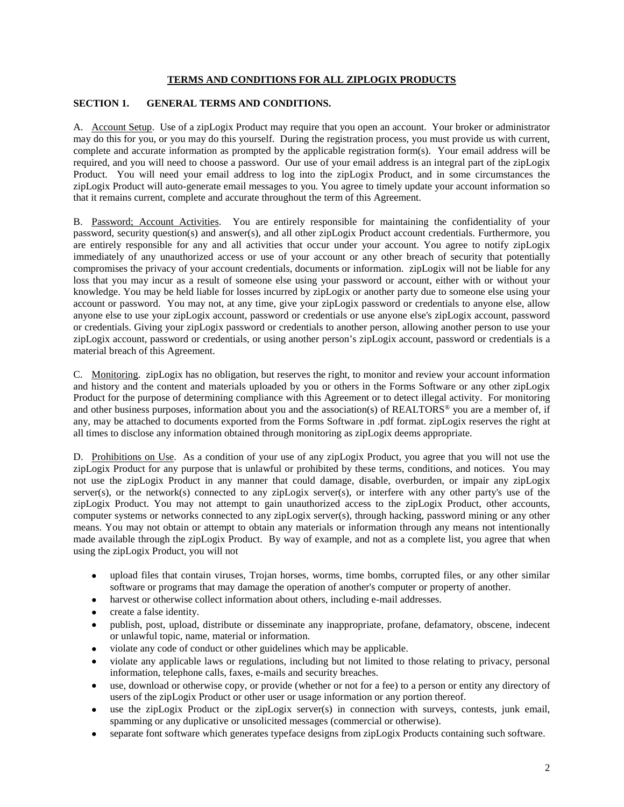## **TERMS AND CONDITIONS FOR ALL ZIPLOGIX PRODUCTS**

## **SECTION 1. GENERAL TERMS AND CONDITIONS.**

A. Account Setup. Use of a zipLogix Product may require that you open an account. Your broker or administrator may do this for you, or you may do this yourself. During the registration process, you must provide us with current, complete and accurate information as prompted by the applicable registration form(s). Your email address will be required, and you will need to choose a password. Our use of your email address is an integral part of the zipLogix Product. You will need your email address to log into the zipLogix Product, and in some circumstances the zipLogix Product will auto-generate email messages to you. You agree to timely update your account information so that it remains current, complete and accurate throughout the term of this Agreement.

B. Password; Account Activities. You are entirely responsible for maintaining the confidentiality of your password, security question(s) and answer(s), and all other zipLogix Product account credentials. Furthermore, you are entirely responsible for any and all activities that occur under your account. You agree to notify zipLogix immediately of any unauthorized access or use of your account or any other breach of security that potentially compromises the privacy of your account credentials, documents or information. zipLogix will not be liable for any loss that you may incur as a result of someone else using your password or account, either with or without your knowledge. You may be held liable for losses incurred by zipLogix or another party due to someone else using your account or password. You may not, at any time, give your zipLogix password or credentials to anyone else, allow anyone else to use your zipLogix account, password or credentials or use anyone else's zipLogix account, password or credentials. Giving your zipLogix password or credentials to another person, allowing another person to use your zipLogix account, password or credentials, or using another person's zipLogix account, password or credentials is a material breach of this Agreement.

C. Monitoring. zipLogix has no obligation, but reserves the right, to monitor and review your account information and history and the content and materials uploaded by you or others in the Forms Software or any other zipLogix Product for the purpose of determining compliance with this Agreement or to detect illegal activity. For monitoring and other business purposes, information about you and the association(s) of REALTORS® you are a member of, if any, may be attached to documents exported from the Forms Software in .pdf format. zipLogix reserves the right at all times to disclose any information obtained through monitoring as zipLogix deems appropriate.

D. Prohibitions on Use. As a condition of your use of any zipLogix Product, you agree that you will not use the zipLogix Product for any purpose that is unlawful or prohibited by these terms, conditions, and notices. You may not use the zipLogix Product in any manner that could damage, disable, overburden, or impair any zipLogix server(s), or the network(s) connected to any zipLogix server(s), or interfere with any other party's use of the zipLogix Product. You may not attempt to gain unauthorized access to the zipLogix Product, other accounts, computer systems or networks connected to any zipLogix server(s), through hacking, password mining or any other means. You may not obtain or attempt to obtain any materials or information through any means not intentionally made available through the zipLogix Product. By way of example, and not as a complete list, you agree that when using the zipLogix Product, you will not

- upload files that contain viruses, Trojan horses, worms, time bombs, corrupted files, or any other similar software or programs that may damage the operation of another's computer or property of another.
- harvest or otherwise collect information about others, including e-mail addresses.
- create a false identity.
- publish, post, upload, distribute or disseminate any inappropriate, profane, defamatory, obscene, indecent or unlawful topic, name, material or information.
- violate any code of conduct or other guidelines which may be applicable.
- violate any applicable laws or regulations, including but not limited to those relating to privacy, personal information, telephone calls, faxes, e-mails and security breaches.
- use, download or otherwise copy, or provide (whether or not for a fee) to a person or entity any directory of users of the zipLogix Product or other user or usage information or any portion thereof.
- use the zipLogix Product or the zipLogix server(s) in connection with surveys, contests, junk email, spamming or any duplicative or unsolicited messages (commercial or otherwise).
- separate font software which generates typeface designs from zipLogix Products containing such software.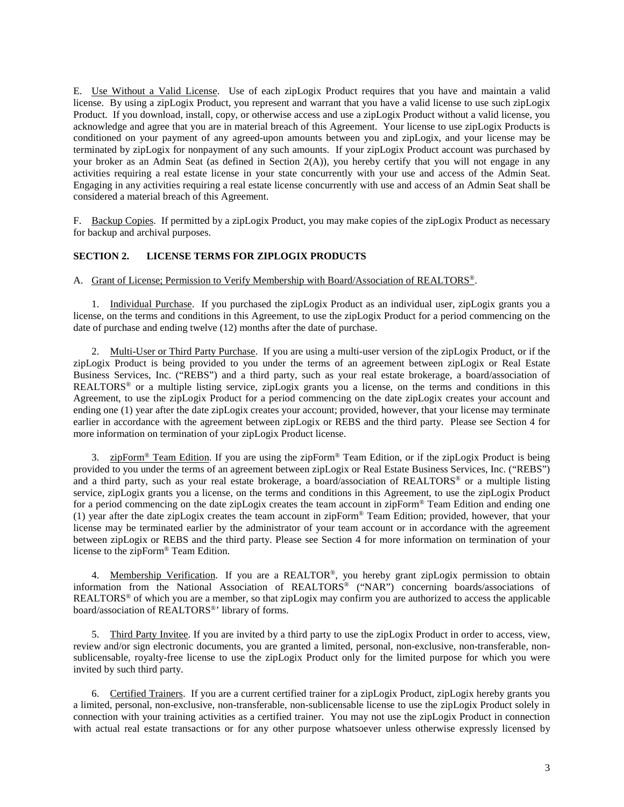E. Use Without a Valid License. Use of each zipLogix Product requires that you have and maintain a valid license. By using a zipLogix Product, you represent and warrant that you have a valid license to use such zipLogix Product. If you download, install, copy, or otherwise access and use a zipLogix Product without a valid license, you acknowledge and agree that you are in material breach of this Agreement. Your license to use zipLogix Products is conditioned on your payment of any agreed-upon amounts between you and zipLogix, and your license may be terminated by zipLogix for nonpayment of any such amounts. If your zipLogix Product account was purchased by your broker as an Admin Seat (as defined in Section  $2(A)$ ), you hereby certify that you will not engage in any activities requiring a real estate license in your state concurrently with your use and access of the Admin Seat. Engaging in any activities requiring a real estate license concurrently with use and access of an Admin Seat shall be considered a material breach of this Agreement.

F. Backup Copies. If permitted by a zipLogix Product, you may make copies of the zipLogix Product as necessary for backup and archival purposes.

#### **SECTION 2. LICENSE TERMS FOR ZIPLOGIX PRODUCTS**

A. Grant of License; Permission to Verify Membership with Board/Association of REALTORS®.

1. Individual Purchase. If you purchased the zipLogix Product as an individual user, zipLogix grants you a license, on the terms and conditions in this Agreement, to use the zipLogix Product for a period commencing on the date of purchase and ending twelve (12) months after the date of purchase.

2. Multi-User or Third Party Purchase. If you are using a multi-user version of the zipLogix Product, or if the zipLogix Product is being provided to you under the terms of an agreement between zipLogix or Real Estate Business Services, Inc. ("REBS") and a third party, such as your real estate brokerage, a board/association of REALTORS® or a multiple listing service, zipLogix grants you a license, on the terms and conditions in this Agreement, to use the zipLogix Product for a period commencing on the date zipLogix creates your account and ending one (1) year after the date zipLogix creates your account; provided, however, that your license may terminate earlier in accordance with the agreement between zipLogix or REBS and the third party. Please see Section 4 for more information on termination of your zipLogix Product license.

3. zipForm® Team Edition. If you are using the zipForm® Team Edition, or if the zipLogix Product is being provided to you under the terms of an agreement between zipLogix or Real Estate Business Services, Inc. ("REBS") and a third party, such as your real estate brokerage, a board/association of REALTORS® or a multiple listing service, zipLogix grants you a license, on the terms and conditions in this Agreement, to use the zipLogix Product for a period commencing on the date zipLogix creates the team account in zipForm® Team Edition and ending one (1) year after the date zipLogix creates the team account in zipForm® Team Edition; provided, however, that your license may be terminated earlier by the administrator of your team account or in accordance with the agreement between zipLogix or REBS and the third party. Please see Section 4 for more information on termination of your license to the zipForm® Team Edition.

4. Membership Verification. If you are a REALTOR®, you hereby grant zipLogix permission to obtain information from the National Association of REALTORS® ("NAR") concerning boards/associations of REALTORS® of which you are a member, so that zipLogix may confirm you are authorized to access the applicable board/association of REALTORS®' library of forms.

5. Third Party Invitee. If you are invited by a third party to use the zipLogix Product in order to access, view, review and/or sign electronic documents, you are granted a limited, personal, non-exclusive, non-transferable, nonsublicensable, royalty-free license to use the zipLogix Product only for the limited purpose for which you were invited by such third party.

6. Certified Trainers. If you are a current certified trainer for a zipLogix Product, zipLogix hereby grants you a limited, personal, non-exclusive, non-transferable, non-sublicensable license to use the zipLogix Product solely in connection with your training activities as a certified trainer. You may not use the zipLogix Product in connection with actual real estate transactions or for any other purpose whatsoever unless otherwise expressly licensed by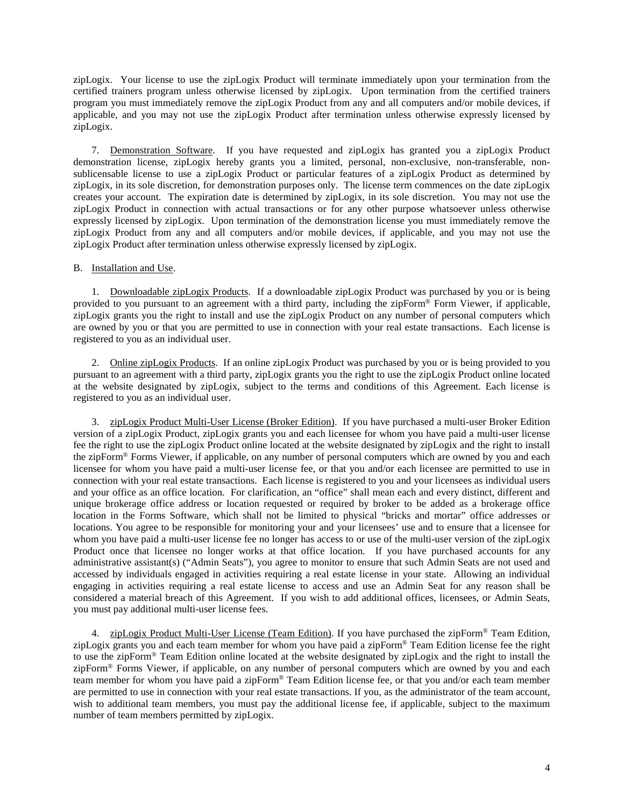zipLogix. Your license to use the zipLogix Product will terminate immediately upon your termination from the certified trainers program unless otherwise licensed by zipLogix. Upon termination from the certified trainers program you must immediately remove the zipLogix Product from any and all computers and/or mobile devices, if applicable, and you may not use the zipLogix Product after termination unless otherwise expressly licensed by zipLogix.

7. Demonstration Software. If you have requested and zipLogix has granted you a zipLogix Product demonstration license, zipLogix hereby grants you a limited, personal, non-exclusive, non-transferable, nonsublicensable license to use a zipLogix Product or particular features of a zipLogix Product as determined by zipLogix, in its sole discretion, for demonstration purposes only. The license term commences on the date zipLogix creates your account. The expiration date is determined by zipLogix, in its sole discretion. You may not use the zipLogix Product in connection with actual transactions or for any other purpose whatsoever unless otherwise expressly licensed by zipLogix. Upon termination of the demonstration license you must immediately remove the zipLogix Product from any and all computers and/or mobile devices, if applicable, and you may not use the zipLogix Product after termination unless otherwise expressly licensed by zipLogix.

#### B. Installation and Use.

1. Downloadable zipLogix Products. If a downloadable zipLogix Product was purchased by you or is being provided to you pursuant to an agreement with a third party, including the zipForm® Form Viewer, if applicable, zipLogix grants you the right to install and use the zipLogix Product on any number of personal computers which are owned by you or that you are permitted to use in connection with your real estate transactions. Each license is registered to you as an individual user.

2. Online zipLogix Products. If an online zipLogix Product was purchased by you or is being provided to you pursuant to an agreement with a third party, zipLogix grants you the right to use the zipLogix Product online located at the website designated by zipLogix, subject to the terms and conditions of this Agreement. Each license is registered to you as an individual user.

3. zipLogix Product Multi-User License (Broker Edition). If you have purchased a multi-user Broker Edition version of a zipLogix Product, zipLogix grants you and each licensee for whom you have paid a multi-user license fee the right to use the zipLogix Product online located at the website designated by zipLogix and the right to install the zipForm® Forms Viewer, if applicable, on any number of personal computers which are owned by you and each licensee for whom you have paid a multi-user license fee, or that you and/or each licensee are permitted to use in connection with your real estate transactions. Each license is registered to you and your licensees as individual users and your office as an office location. For clarification, an "office" shall mean each and every distinct, different and unique brokerage office address or location requested or required by broker to be added as a brokerage office location in the Forms Software, which shall not be limited to physical "bricks and mortar" office addresses or locations. You agree to be responsible for monitoring your and your licensees' use and to ensure that a licensee for whom you have paid a multi-user license fee no longer has access to or use of the multi-user version of the zipLogix Product once that licensee no longer works at that office location. If you have purchased accounts for any administrative assistant(s) ("Admin Seats"), you agree to monitor to ensure that such Admin Seats are not used and accessed by individuals engaged in activities requiring a real estate license in your state. Allowing an individual engaging in activities requiring a real estate license to access and use an Admin Seat for any reason shall be considered a material breach of this Agreement. If you wish to add additional offices, licensees, or Admin Seats, you must pay additional multi-user license fees.

4. zipLogix Product Multi-User License (Team Edition). If you have purchased the zipForm® Team Edition, zipLogix grants you and each team member for whom you have paid a zipForm® Team Edition license fee the right to use the zipForm® Team Edition online located at the website designated by zipLogix and the right to install the zipForm® Forms Viewer, if applicable, on any number of personal computers which are owned by you and each team member for whom you have paid a zipForm® Team Edition license fee, or that you and/or each team member are permitted to use in connection with your real estate transactions. If you, as the administrator of the team account, wish to additional team members, you must pay the additional license fee, if applicable, subject to the maximum number of team members permitted by zipLogix.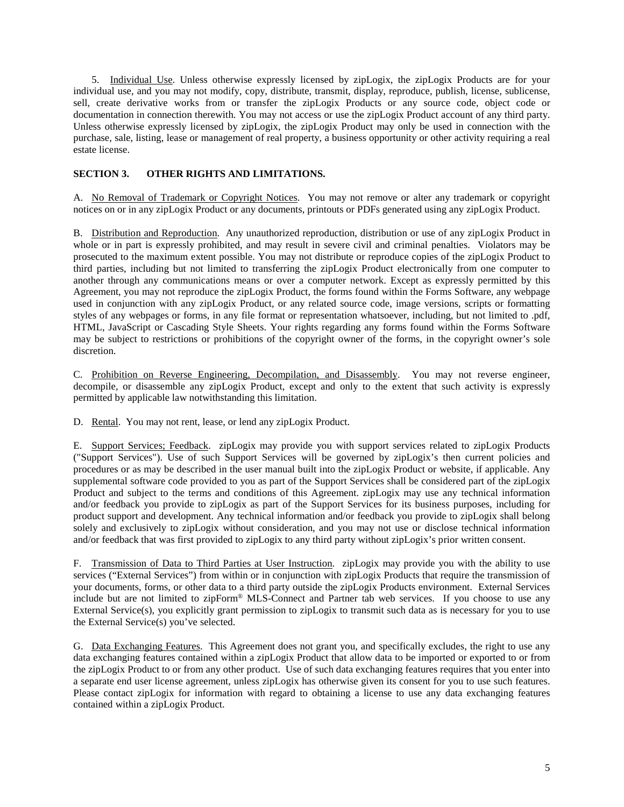5. Individual Use. Unless otherwise expressly licensed by zipLogix, the zipLogix Products are for your individual use, and you may not modify, copy, distribute, transmit, display, reproduce, publish, license, sublicense, sell, create derivative works from or transfer the zipLogix Products or any source code, object code or documentation in connection therewith. You may not access or use the zipLogix Product account of any third party. Unless otherwise expressly licensed by zipLogix, the zipLogix Product may only be used in connection with the purchase, sale, listing, lease or management of real property, a business opportunity or other activity requiring a real estate license.

## **SECTION 3. OTHER RIGHTS AND LIMITATIONS.**

A. No Removal of Trademark or Copyright Notices. You may not remove or alter any trademark or copyright notices on or in any zipLogix Product or any documents, printouts or PDFs generated using any zipLogix Product.

B. Distribution and Reproduction. Any unauthorized reproduction, distribution or use of any zipLogix Product in whole or in part is expressly prohibited, and may result in severe civil and criminal penalties. Violators may be prosecuted to the maximum extent possible. You may not distribute or reproduce copies of the zipLogix Product to third parties, including but not limited to transferring the zipLogix Product electronically from one computer to another through any communications means or over a computer network. Except as expressly permitted by this Agreement, you may not reproduce the zipLogix Product, the forms found within the Forms Software, any webpage used in conjunction with any zipLogix Product, or any related source code, image versions, scripts or formatting styles of any webpages or forms, in any file format or representation whatsoever, including, but not limited to .pdf, HTML, JavaScript or Cascading Style Sheets. Your rights regarding any forms found within the Forms Software may be subject to restrictions or prohibitions of the copyright owner of the forms, in the copyright owner's sole discretion.

C. Prohibition on Reverse Engineering, Decompilation, and Disassembly. You may not reverse engineer, decompile, or disassemble any zipLogix Product, except and only to the extent that such activity is expressly permitted by applicable law notwithstanding this limitation.

D. Rental. You may not rent, lease, or lend any zipLogix Product.

E. Support Services; Feedback. zipLogix may provide you with support services related to zipLogix Products ("Support Services"). Use of such Support Services will be governed by zipLogix's then current policies and procedures or as may be described in the user manual built into the zipLogix Product or website, if applicable. Any supplemental software code provided to you as part of the Support Services shall be considered part of the zipLogix Product and subject to the terms and conditions of this Agreement. zipLogix may use any technical information and/or feedback you provide to zipLogix as part of the Support Services for its business purposes, including for product support and development. Any technical information and/or feedback you provide to zipLogix shall belong solely and exclusively to zipLogix without consideration, and you may not use or disclose technical information and/or feedback that was first provided to zipLogix to any third party without zipLogix's prior written consent.

F. Transmission of Data to Third Parties at User Instruction. zipLogix may provide you with the ability to use services ("External Services") from within or in conjunction with zipLogix Products that require the transmission of your documents, forms, or other data to a third party outside the zipLogix Products environment. External Services include but are not limited to zipForm® MLS-Connect and Partner tab web services. If you choose to use any External Service(s), you explicitly grant permission to zipLogix to transmit such data as is necessary for you to use the External Service(s) you've selected.

G. Data Exchanging Features. This Agreement does not grant you, and specifically excludes, the right to use any data exchanging features contained within a zipLogix Product that allow data to be imported or exported to or from the zipLogix Product to or from any other product. Use of such data exchanging features requires that you enter into a separate end user license agreement, unless zipLogix has otherwise given its consent for you to use such features. Please contact zipLogix for information with regard to obtaining a license to use any data exchanging features contained within a zipLogix Product.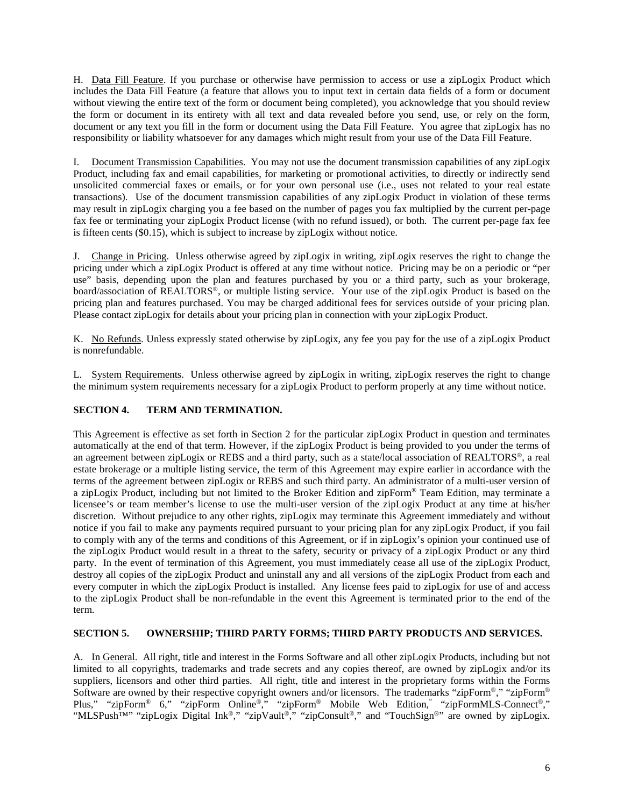H. Data Fill Feature. If you purchase or otherwise have permission to access or use a zipLogix Product which includes the Data Fill Feature (a feature that allows you to input text in certain data fields of a form or document without viewing the entire text of the form or document being completed), you acknowledge that you should review the form or document in its entirety with all text and data revealed before you send, use, or rely on the form, document or any text you fill in the form or document using the Data Fill Feature. You agree that zipLogix has no responsibility or liability whatsoever for any damages which might result from your use of the Data Fill Feature.

I. Document Transmission Capabilities. You may not use the document transmission capabilities of any zipLogix Product, including fax and email capabilities, for marketing or promotional activities, to directly or indirectly send unsolicited commercial faxes or emails, or for your own personal use (i.e., uses not related to your real estate transactions). Use of the document transmission capabilities of any zipLogix Product in violation of these terms may result in zipLogix charging you a fee based on the number of pages you fax multiplied by the current per-page fax fee or terminating your zipLogix Product license (with no refund issued), or both. The current per-page fax fee is fifteen cents (\$0.15), which is subject to increase by zipLogix without notice.

J. Change in Pricing. Unless otherwise agreed by zipLogix in writing, zipLogix reserves the right to change the pricing under which a zipLogix Product is offered at any time without notice. Pricing may be on a periodic or "per use" basis, depending upon the plan and features purchased by you or a third party, such as your brokerage, board/association of REALTORS®, or multiple listing service. Your use of the zipLogix Product is based on the pricing plan and features purchased. You may be charged additional fees for services outside of your pricing plan. Please contact zipLogix for details about your pricing plan in connection with your zipLogix Product.

K. No Refunds. Unless expressly stated otherwise by zipLogix, any fee you pay for the use of a zipLogix Product is nonrefundable.

L. System Requirements. Unless otherwise agreed by zipLogix in writing, zipLogix reserves the right to change the minimum system requirements necessary for a zipLogix Product to perform properly at any time without notice.

## **SECTION 4. TERM AND TERMINATION.**

This Agreement is effective as set forth in Section 2 for the particular zipLogix Product in question and terminates automatically at the end of that term. However, if the zipLogix Product is being provided to you under the terms of an agreement between zipLogix or REBS and a third party, such as a state/local association of REALTORS®, a real estate brokerage or a multiple listing service, the term of this Agreement may expire earlier in accordance with the terms of the agreement between zipLogix or REBS and such third party. An administrator of a multi-user version of a zipLogix Product, including but not limited to the Broker Edition and zipForm® Team Edition, may terminate a licensee's or team member's license to use the multi-user version of the zipLogix Product at any time at his/her discretion. Without prejudice to any other rights, zipLogix may terminate this Agreement immediately and without notice if you fail to make any payments required pursuant to your pricing plan for any zipLogix Product, if you fail to comply with any of the terms and conditions of this Agreement, or if in zipLogix's opinion your continued use of the zipLogix Product would result in a threat to the safety, security or privacy of a zipLogix Product or any third party. In the event of termination of this Agreement, you must immediately cease all use of the zipLogix Product, destroy all copies of the zipLogix Product and uninstall any and all versions of the zipLogix Product from each and every computer in which the zipLogix Product is installed. Any license fees paid to zipLogix for use of and access to the zipLogix Product shall be non-refundable in the event this Agreement is terminated prior to the end of the term.

## **SECTION 5. OWNERSHIP; THIRD PARTY FORMS; THIRD PARTY PRODUCTS AND SERVICES.**

A. In General. All right, title and interest in the Forms Software and all other zipLogix Products, including but not limited to all copyrights, trademarks and trade secrets and any copies thereof, are owned by zipLogix and/or its suppliers, licensors and other third parties. All right, title and interest in the proprietary forms within the Forms Software are owned by their respective copyright owners and/or licensors. The trademarks "zipForm®," "zipForm® Plus," "zipForm® 6," "zipForm Online®," "zipForm® Mobile Web Edition," "zipFormMLS-Connect®," "MLSPush™" "zipLogix Digital Ink®," "zipVault®," "zipConsult®," and "TouchSign®" are owned by zipLogix.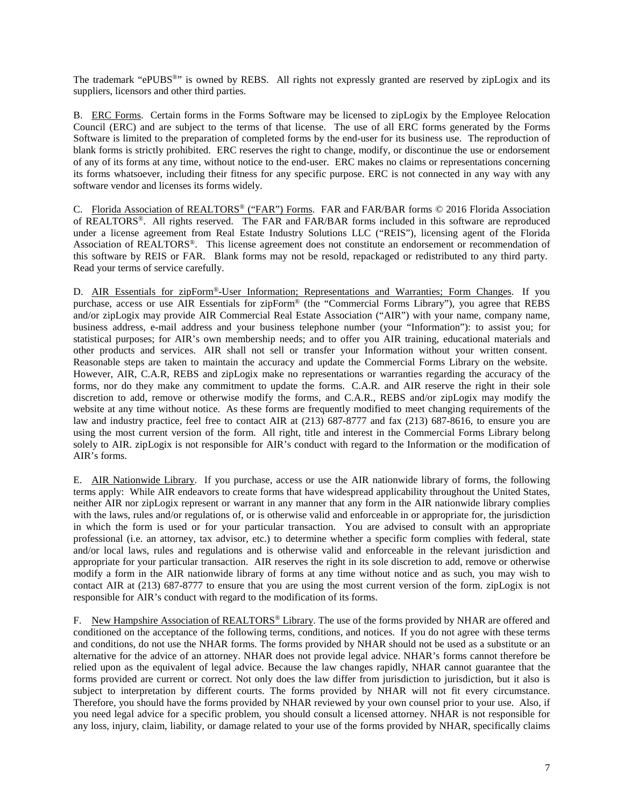The trademark "ePUBS<sup>®</sup>" is owned by REBS. All rights not expressly granted are reserved by zipLogix and its suppliers, licensors and other third parties.

B. ERC Forms. Certain forms in the Forms Software may be licensed to zipLogix by the Employee Relocation Council (ERC) and are subject to the terms of that license. The use of all ERC forms generated by the Forms Software is limited to the preparation of completed forms by the end-user for its business use. The reproduction of blank forms is strictly prohibited. ERC reserves the right to change, modify, or discontinue the use or endorsement of any of its forms at any time, without notice to the end-user. ERC makes no claims or representations concerning its forms whatsoever, including their fitness for any specific purpose. ERC is not connected in any way with any software vendor and licenses its forms widely.

C. Florida Association of REALTORS® ("FAR") Forms. FAR and FAR/BAR forms © 2016 Florida Association of REALTORS®. All rights reserved. The FAR and FAR/BAR forms included in this software are reproduced under a license agreement from Real Estate Industry Solutions LLC ("REIS"), licensing agent of the Florida Association of REALTORS®. This license agreement does not constitute an endorsement or recommendation of this software by REIS or FAR. Blank forms may not be resold, repackaged or redistributed to any third party. Read your terms of service carefully.

D. AIR Essentials for zipForm®-User Information; Representations and Warranties; Form Changes. If you purchase, access or use AIR Essentials for zipForm® (the "Commercial Forms Library"), you agree that REBS and/or zipLogix may provide AIR Commercial Real Estate Association ("AIR") with your name, company name, business address, e-mail address and your business telephone number (your "Information"): to assist you; for statistical purposes; for AIR's own membership needs; and to offer you AIR training, educational materials and other products and services. AIR shall not sell or transfer your Information without your written consent. Reasonable steps are taken to maintain the accuracy and update the Commercial Forms Library on the website. However, AIR, C.A.R, REBS and zipLogix make no representations or warranties regarding the accuracy of the forms, nor do they make any commitment to update the forms. C.A.R. and AIR reserve the right in their sole discretion to add, remove or otherwise modify the forms, and C.A.R., REBS and/or zipLogix may modify the website at any time without notice. As these forms are frequently modified to meet changing requirements of the law and industry practice, feel free to contact AIR at (213) 687-8777 and fax (213) 687-8616, to ensure you are using the most current version of the form. All right, title and interest in the Commercial Forms Library belong solely to AIR. zipLogix is not responsible for AIR's conduct with regard to the Information or the modification of AIR's forms.

E. AIR Nationwide Library. If you purchase, access or use the AIR nationwide library of forms, the following terms apply: While AIR endeavors to create forms that have widespread applicability throughout the United States, neither AIR nor zipLogix represent or warrant in any manner that any form in the AIR nationwide library complies with the laws, rules and/or regulations of, or is otherwise valid and enforceable in or appropriate for, the jurisdiction in which the form is used or for your particular transaction. You are advised to consult with an appropriate professional (i.e. an attorney, tax advisor, etc.) to determine whether a specific form complies with federal, state and/or local laws, rules and regulations and is otherwise valid and enforceable in the relevant jurisdiction and appropriate for your particular transaction. AIR reserves the right in its sole discretion to add, remove or otherwise modify a form in the AIR nationwide library of forms at any time without notice and as such, you may wish to contact AIR at (213) 687-8777 to ensure that you are using the most current version of the form. zipLogix is not responsible for AIR's conduct with regard to the modification of its forms.

F. New Hampshire Association of REALTORS<sup>®</sup> Library. The use of the forms provided by NHAR are offered and conditioned on the acceptance of the following terms, conditions, and notices. If you do not agree with these terms and conditions, do not use the NHAR forms. The forms provided by NHAR should not be used as a substitute or an alternative for the advice of an attorney. NHAR does not provide legal advice. NHAR's forms cannot therefore be relied upon as the equivalent of legal advice. Because the law changes rapidly, NHAR cannot guarantee that the forms provided are current or correct. Not only does the law differ from jurisdiction to jurisdiction, but it also is subject to interpretation by different courts. The forms provided by NHAR will not fit every circumstance. Therefore, you should have the forms provided by NHAR reviewed by your own counsel prior to your use. Also, if you need legal advice for a specific problem, you should consult a licensed attorney. NHAR is not responsible for any loss, injury, claim, liability, or damage related to your use of the forms provided by NHAR, specifically claims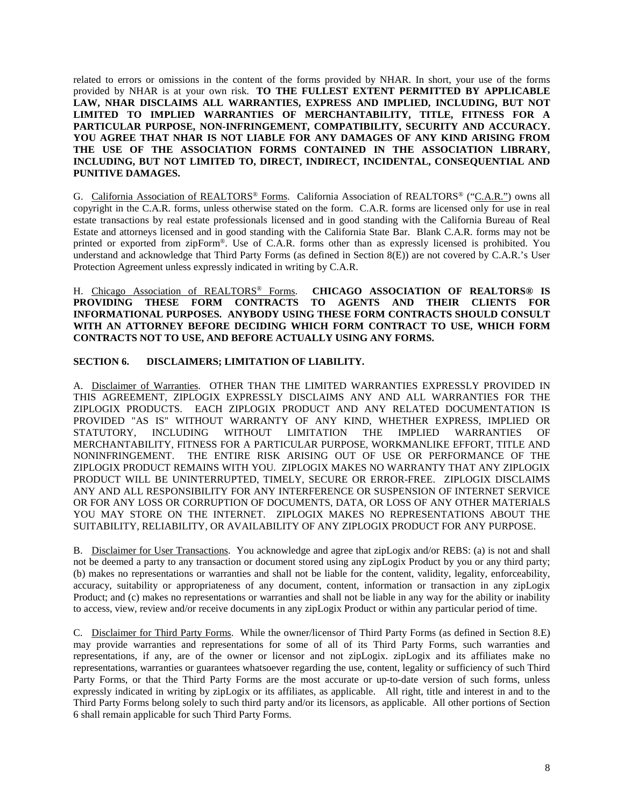related to errors or omissions in the content of the forms provided by NHAR. In short, your use of the forms provided by NHAR is at your own risk. **TO THE FULLEST EXTENT PERMITTED BY APPLICABLE LAW, NHAR DISCLAIMS ALL WARRANTIES, EXPRESS AND IMPLIED, INCLUDING, BUT NOT LIMITED TO IMPLIED WARRANTIES OF MERCHANTABILITY, TITLE, FITNESS FOR A PARTICULAR PURPOSE, NON-INFRINGEMENT, COMPATIBILITY, SECURITY AND ACCURACY. YOU AGREE THAT NHAR IS NOT LIABLE FOR ANY DAMAGES OF ANY KIND ARISING FROM THE USE OF THE ASSOCIATION FORMS CONTAINED IN THE ASSOCIATION LIBRARY, INCLUDING, BUT NOT LIMITED TO, DIRECT, INDIRECT, INCIDENTAL, CONSEQUENTIAL AND PUNITIVE DAMAGES.**

G. California Association of REALTORS® Forms. California Association of REALTORS® ("C.A.R.") owns all copyright in the C.A.R. forms, unless otherwise stated on the form. C.A.R. forms are licensed only for use in real estate transactions by real estate professionals licensed and in good standing with the California Bureau of Real Estate and attorneys licensed and in good standing with the California State Bar. Blank C.A.R. forms may not be printed or exported from zipForm®. Use of C.A.R. forms other than as expressly licensed is prohibited. You understand and acknowledge that Third Party Forms (as defined in Section 8(E)) are not covered by C.A.R.'s User Protection Agreement unless expressly indicated in writing by C.A.R.

H. Chicago Association of REALTORS® Forms. **CHICAGO ASSOCIATION OF REALTORS® IS**  TO AGENTS AND THEIR CLIENTS FOR **INFORMATIONAL PURPOSES. ANYBODY USING THESE FORM CONTRACTS SHOULD CONSULT WITH AN ATTORNEY BEFORE DECIDING WHICH FORM CONTRACT TO USE, WHICH FORM CONTRACTS NOT TO USE, AND BEFORE ACTUALLY USING ANY FORMS.**

## **SECTION 6. DISCLAIMERS; LIMITATION OF LIABILITY.**

A. Disclaimer of Warranties. OTHER THAN THE LIMITED WARRANTIES EXPRESSLY PROVIDED IN THIS AGREEMENT, ZIPLOGIX EXPRESSLY DISCLAIMS ANY AND ALL WARRANTIES FOR THE ZIPLOGIX PRODUCTS. EACH ZIPLOGIX PRODUCT AND ANY RELATED DOCUMENTATION IS PROVIDED "AS IS" WITHOUT WARRANTY OF ANY KIND, WHETHER EXPRESS, IMPLIED OR STATUTORY, INCLUDING WITHOUT LIMITATION THE IMPLIED WARRANTIES OF MERCHANTABILITY, FITNESS FOR A PARTICULAR PURPOSE, WORKMANLIKE EFFORT, TITLE AND NONINFRINGEMENT. THE ENTIRE RISK ARISING OUT OF USE OR PERFORMANCE OF THE ZIPLOGIX PRODUCT REMAINS WITH YOU. ZIPLOGIX MAKES NO WARRANTY THAT ANY ZIPLOGIX PRODUCT WILL BE UNINTERRUPTED, TIMELY, SECURE OR ERROR-FREE. ZIPLOGIX DISCLAIMS ANY AND ALL RESPONSIBILITY FOR ANY INTERFERENCE OR SUSPENSION OF INTERNET SERVICE OR FOR ANY LOSS OR CORRUPTION OF DOCUMENTS, DATA, OR LOSS OF ANY OTHER MATERIALS YOU MAY STORE ON THE INTERNET. ZIPLOGIX MAKES NO REPRESENTATIONS ABOUT THE SUITABILITY, RELIABILITY, OR AVAILABILITY OF ANY ZIPLOGIX PRODUCT FOR ANY PURPOSE.

B. Disclaimer for User Transactions. You acknowledge and agree that zipLogix and/or REBS: (a) is not and shall not be deemed a party to any transaction or document stored using any zipLogix Product by you or any third party; (b) makes no representations or warranties and shall not be liable for the content, validity, legality, enforceability, accuracy, suitability or appropriateness of any document, content, information or transaction in any zipLogix Product; and (c) makes no representations or warranties and shall not be liable in any way for the ability or inability to access, view, review and/or receive documents in any zipLogix Product or within any particular period of time.

C. Disclaimer for Third Party Forms. While the owner/licensor of Third Party Forms (as defined in Section 8.E) may provide warranties and representations for some of all of its Third Party Forms, such warranties and representations, if any, are of the owner or licensor and not zipLogix. zipLogix and its affiliates make no representations, warranties or guarantees whatsoever regarding the use, content, legality or sufficiency of such Third Party Forms, or that the Third Party Forms are the most accurate or up-to-date version of such forms, unless expressly indicated in writing by zipLogix or its affiliates, as applicable. All right, title and interest in and to the Third Party Forms belong solely to such third party and/or its licensors, as applicable. All other portions of Section 6 shall remain applicable for such Third Party Forms.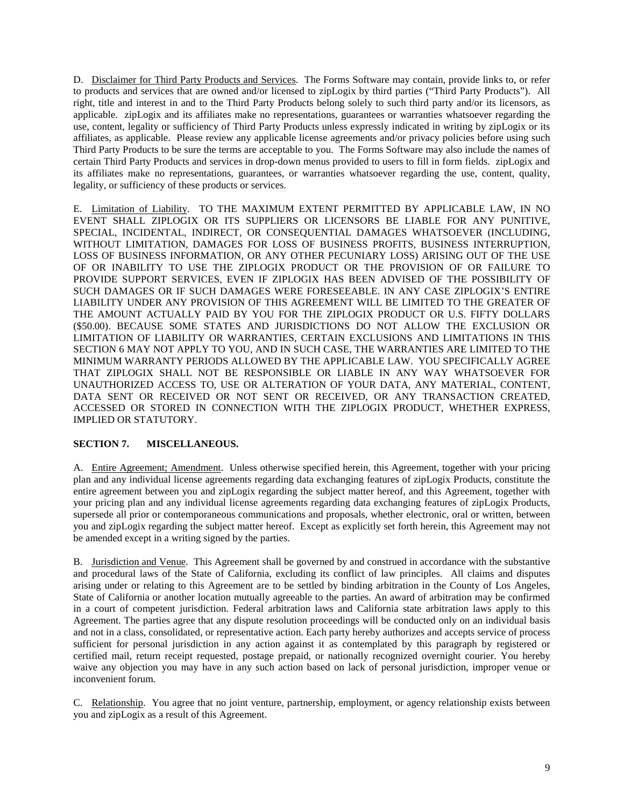D. Disclaimer for Third Party Products and Services. The Forms Software may contain, provide links to, or refer to products and services that are owned and/or licensed to zipLogix by third parties ("Third Party Products"). All right, title and interest in and to the Third Party Products belong solely to such third party and/or its licensors, as applicable. zipLogix and its affiliates make no representations, guarantees or warranties whatsoever regarding the use, content, legality or sufficiency of Third Party Products unless expressly indicated in writing by zipLogix or its affiliates, as applicable. Please review any applicable license agreements and/or privacy policies before using such Third Party Products to be sure the terms are acceptable to you. The Forms Software may also include the names of certain Third Party Products and services in drop-down menus provided to users to fill in form fields. zipLogix and its affiliates make no representations, guarantees, or warranties whatsoever regarding the use, content, quality, legality, or sufficiency of these products or services.

E. Limitation of Liability. TO THE MAXIMUM EXTENT PERMITTED BY APPLICABLE LAW, IN NO EVENT SHALL ZIPLOGIX OR ITS SUPPLIERS OR LICENSORS BE LIABLE FOR ANY PUNITIVE, SPECIAL, INCIDENTAL, INDIRECT, OR CONSEQUENTIAL DAMAGES WHATSOEVER (INCLUDING, WITHOUT LIMITATION, DAMAGES FOR LOSS OF BUSINESS PROFITS, BUSINESS INTERRUPTION, LOSS OF BUSINESS INFORMATION, OR ANY OTHER PECUNIARY LOSS) ARISING OUT OF THE USE OF OR INABILITY TO USE THE ZIPLOGIX PRODUCT OR THE PROVISION OF OR FAILURE TO PROVIDE SUPPORT SERVICES, EVEN IF ZIPLOGIX HAS BEEN ADVISED OF THE POSSIBILITY OF SUCH DAMAGES OR IF SUCH DAMAGES WERE FORESEEABLE. IN ANY CASE ZIPLOGIX'S ENTIRE LIABILITY UNDER ANY PROVISION OF THIS AGREEMENT WILL BE LIMITED TO THE GREATER OF THE AMOUNT ACTUALLY PAID BY YOU FOR THE ZIPLOGIX PRODUCT OR U.S. FIFTY DOLLARS (\$50.00). BECAUSE SOME STATES AND JURISDICTIONS DO NOT ALLOW THE EXCLUSION OR LIMITATION OF LIABILITY OR WARRANTIES, CERTAIN EXCLUSIONS AND LIMITATIONS IN THIS SECTION 6 MAY NOT APPLY TO YOU, AND IN SUCH CASE, THE WARRANTIES ARE LIMITED TO THE MINIMUM WARRANTY PERIODS ALLOWED BY THE APPLICABLE LAW. YOU SPECIFICALLY AGREE THAT ZIPLOGIX SHALL NOT BE RESPONSIBLE OR LIABLE IN ANY WAY WHATSOEVER FOR UNAUTHORIZED ACCESS TO, USE OR ALTERATION OF YOUR DATA, ANY MATERIAL, CONTENT, DATA SENT OR RECEIVED OR NOT SENT OR RECEIVED, OR ANY TRANSACTION CREATED, ACCESSED OR STORED IN CONNECTION WITH THE ZIPLOGIX PRODUCT, WHETHER EXPRESS, IMPLIED OR STATUTORY.

## **SECTION 7. MISCELLANEOUS.**

A. Entire Agreement; Amendment. Unless otherwise specified herein, this Agreement, together with your pricing plan and any individual license agreements regarding data exchanging features of zipLogix Products, constitute the entire agreement between you and zipLogix regarding the subject matter hereof, and this Agreement, together with your pricing plan and any individual license agreements regarding data exchanging features of zipLogix Products, supersede all prior or contemporaneous communications and proposals, whether electronic, oral or written, between you and zipLogix regarding the subject matter hereof. Except as explicitly set forth herein, this Agreement may not be amended except in a writing signed by the parties.

B. Jurisdiction and Venue. This Agreement shall be governed by and construed in accordance with the substantive and procedural laws of the State of California, excluding its conflict of law principles. All claims and disputes arising under or relating to this Agreement are to be settled by binding arbitration in the County of Los Angeles, State of California or another location mutually agreeable to the parties. An award of arbitration may be confirmed in a court of competent jurisdiction. Federal arbitration laws and California state arbitration laws apply to this Agreement. The parties agree that any dispute resolution proceedings will be conducted only on an individual basis and not in a class, consolidated, or representative action. Each party hereby authorizes and accepts service of process sufficient for personal jurisdiction in any action against it as contemplated by this paragraph by registered or certified mail, return receipt requested, postage prepaid, or nationally recognized overnight courier. You hereby waive any objection you may have in any such action based on lack of personal jurisdiction, improper venue or inconvenient forum.

C. Relationship. You agree that no joint venture, partnership, employment, or agency relationship exists between you and zipLogix as a result of this Agreement.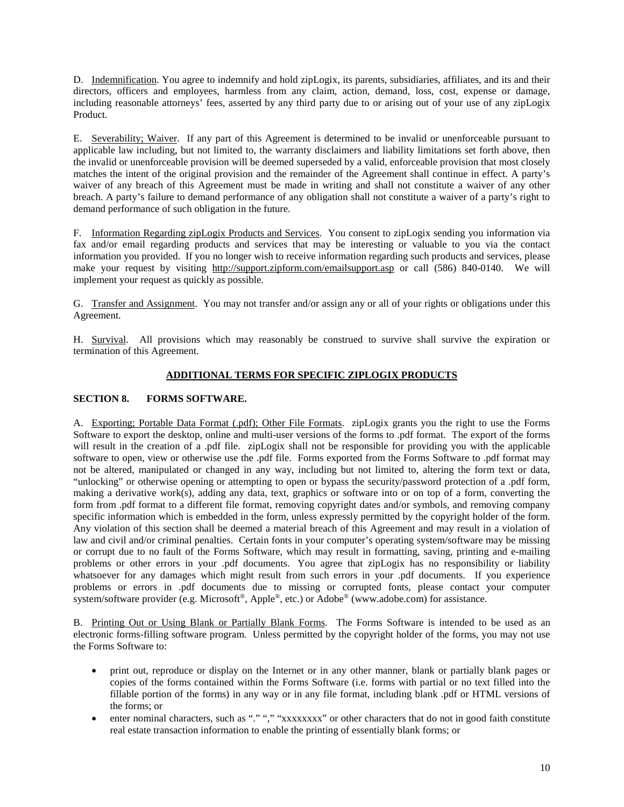D. Indemnification. You agree to indemnify and hold zipLogix, its parents, subsidiaries, affiliates, and its and their directors, officers and employees, harmless from any claim, action, demand, loss, cost, expense or damage, including reasonable attorneys' fees, asserted by any third party due to or arising out of your use of any zipLogix Product.

E. Severability; Waiver. If any part of this Agreement is determined to be invalid or unenforceable pursuant to applicable law including, but not limited to, the warranty disclaimers and liability limitations set forth above, then the invalid or unenforceable provision will be deemed superseded by a valid, enforceable provision that most closely matches the intent of the original provision and the remainder of the Agreement shall continue in effect. A party's waiver of any breach of this Agreement must be made in writing and shall not constitute a waiver of any other breach. A party's failure to demand performance of any obligation shall not constitute a waiver of a party's right to demand performance of such obligation in the future.

F. Information Regarding zipLogix Products and Services. You consent to zipLogix sending you information via fax and/or email regarding products and services that may be interesting or valuable to you via the contact information you provided. If you no longer wish to receive information regarding such products and services, please make your request by visiting <http://support.zipform.com/emailsupport.asp> or call (586) 840-0140. We will implement your request as quickly as possible.

G. Transfer and Assignment. You may not transfer and/or assign any or all of your rights or obligations under this Agreement.

H. Survival. All provisions which may reasonably be construed to survive shall survive the expiration or termination of this Agreement.

## **ADDITIONAL TERMS FOR SPECIFIC ZIPLOGIX PRODUCTS**

## **SECTION 8. FORMS SOFTWARE.**

A. Exporting; Portable Data Format (.pdf); Other File Formats. zipLogix grants you the right to use the Forms Software to export the desktop, online and multi-user versions of the forms to .pdf format. The export of the forms will result in the creation of a .pdf file. zipLogix shall not be responsible for providing you with the applicable software to open, view or otherwise use the .pdf file. Forms exported from the Forms Software to .pdf format may not be altered, manipulated or changed in any way, including but not limited to, altering the form text or data, "unlocking" or otherwise opening or attempting to open or bypass the security/password protection of a .pdf form, making a derivative work(s), adding any data, text, graphics or software into or on top of a form, converting the form from .pdf format to a different file format, removing copyright dates and/or symbols, and removing company specific information which is embedded in the form, unless expressly permitted by the copyright holder of the form. Any violation of this section shall be deemed a material breach of this Agreement and may result in a violation of law and civil and/or criminal penalties. Certain fonts in your computer's operating system/software may be missing or corrupt due to no fault of the Forms Software, which may result in formatting, saving, printing and e-mailing problems or other errors in your .pdf documents. You agree that zipLogix has no responsibility or liability whatsoever for any damages which might result from such errors in your .pdf documents. If you experience problems or errors in .pdf documents due to missing or corrupted fonts, please contact your computer system/software provider (e.g. Microsoft®, Apple®, etc.) or Adobe® (www.adobe.com) for assistance.

B. Printing Out or Using Blank or Partially Blank Forms. The Forms Software is intended to be used as an electronic forms-filling software program. Unless permitted by the copyright holder of the forms, you may not use the Forms Software to:

- print out, reproduce or display on the Internet or in any other manner, blank or partially blank pages or copies of the forms contained within the Forms Software (i.e. forms with partial or no text filled into the fillable portion of the forms) in any way or in any file format, including blank .pdf or HTML versions of the forms; or
- enter nominal characters, such as "." "," "xxxxxxxxx" or other characters that do not in good faith constitute real estate transaction information to enable the printing of essentially blank forms; or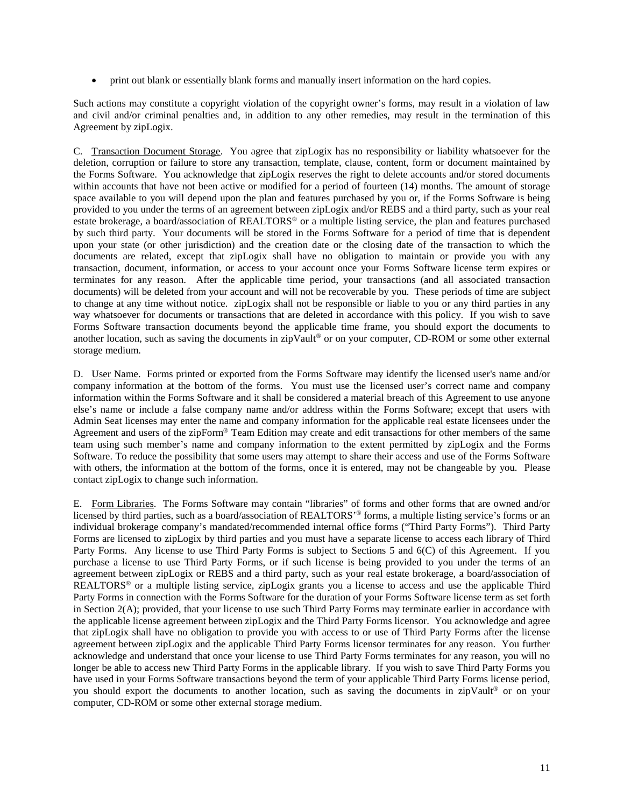• print out blank or essentially blank forms and manually insert information on the hard copies.

Such actions may constitute a copyright violation of the copyright owner's forms, may result in a violation of law and civil and/or criminal penalties and, in addition to any other remedies, may result in the termination of this Agreement by zipLogix.

C. Transaction Document Storage. You agree that zipLogix has no responsibility or liability whatsoever for the deletion, corruption or failure to store any transaction, template, clause, content, form or document maintained by the Forms Software. You acknowledge that zipLogix reserves the right to delete accounts and/or stored documents within accounts that have not been active or modified for a period of fourteen (14) months. The amount of storage space available to you will depend upon the plan and features purchased by you or, if the Forms Software is being provided to you under the terms of an agreement between zipLogix and/or REBS and a third party, such as your real estate brokerage, a board/association of REALTORS® or a multiple listing service, the plan and features purchased by such third party. Your documents will be stored in the Forms Software for a period of time that is dependent upon your state (or other jurisdiction) and the creation date or the closing date of the transaction to which the documents are related, except that zipLogix shall have no obligation to maintain or provide you with any transaction, document, information, or access to your account once your Forms Software license term expires or terminates for any reason. After the applicable time period, your transactions (and all associated transaction documents) will be deleted from your account and will not be recoverable by you. These periods of time are subject to change at any time without notice. zipLogix shall not be responsible or liable to you or any third parties in any way whatsoever for documents or transactions that are deleted in accordance with this policy. If you wish to save Forms Software transaction documents beyond the applicable time frame, you should export the documents to another location, such as saving the documents in zipVault<sup>®</sup> or on your computer, CD-ROM or some other external storage medium.

D. User Name. Forms printed or exported from the Forms Software may identify the licensed user's name and/or company information at the bottom of the forms. You must use the licensed user's correct name and company information within the Forms Software and it shall be considered a material breach of this Agreement to use anyone else's name or include a false company name and/or address within the Forms Software; except that users with Admin Seat licenses may enter the name and company information for the applicable real estate licensees under the Agreement and users of the zipForm® Team Edition may create and edit transactions for other members of the same team using such member's name and company information to the extent permitted by zipLogix and the Forms Software. To reduce the possibility that some users may attempt to share their access and use of the Forms Software with others, the information at the bottom of the forms, once it is entered, may not be changeable by you. Please contact zipLogix to change such information.

E. Form Libraries. The Forms Software may contain "libraries" of forms and other forms that are owned and/or licensed by third parties, such as a board/association of REALTORS' ® forms, a multiple listing service's forms or an individual brokerage company's mandated/recommended internal office forms ("Third Party Forms"). Third Party Forms are licensed to zipLogix by third parties and you must have a separate license to access each library of Third Party Forms. Any license to use Third Party Forms is subject to Sections 5 and 6(C) of this Agreement. If you purchase a license to use Third Party Forms, or if such license is being provided to you under the terms of an agreement between zipLogix or REBS and a third party, such as your real estate brokerage, a board/association of REALTORS® or a multiple listing service, zipLogix grants you a license to access and use the applicable Third Party Forms in connection with the Forms Software for the duration of your Forms Software license term as set forth in Section 2(A); provided, that your license to use such Third Party Forms may terminate earlier in accordance with the applicable license agreement between zipLogix and the Third Party Forms licensor. You acknowledge and agree that zipLogix shall have no obligation to provide you with access to or use of Third Party Forms after the license agreement between zipLogix and the applicable Third Party Forms licensor terminates for any reason. You further acknowledge and understand that once your license to use Third Party Forms terminates for any reason, you will no longer be able to access new Third Party Forms in the applicable library. If you wish to save Third Party Forms you have used in your Forms Software transactions beyond the term of your applicable Third Party Forms license period, you should export the documents to another location, such as saving the documents in zipVault® or on your computer, CD-ROM or some other external storage medium.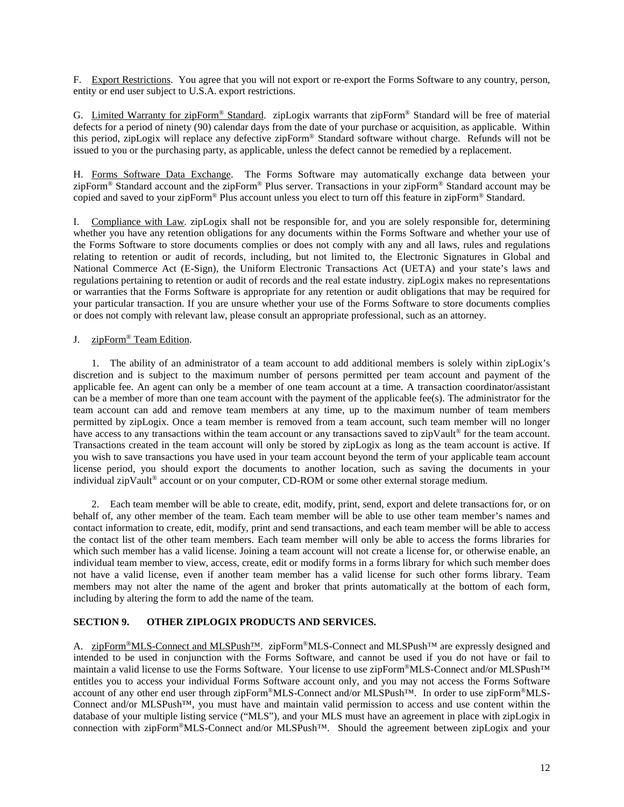F. Export Restrictions. You agree that you will not export or re-export the Forms Software to any country, person, entity or end user subject to U.S.A. export restrictions.

G. Limited Warranty for zipForm® Standard. zipLogix warrants that zipForm® Standard will be free of material defects for a period of ninety (90) calendar days from the date of your purchase or acquisition, as applicable. Within this period, zipLogix will replace any defective zipForm® Standard software without charge. Refunds will not be issued to you or the purchasing party, as applicable, unless the defect cannot be remedied by a replacement.

H. Forms Software Data Exchange. The Forms Software may automatically exchange data between your zipForm® Standard account and the zipForm® Plus server. Transactions in your zipForm® Standard account may be copied and saved to your zipForm® Plus account unless you elect to turn off this feature in zipForm® Standard.

I. Compliance with Law. zipLogix shall not be responsible for, and you are solely responsible for, determining whether you have any retention obligations for any documents within the Forms Software and whether your use of the Forms Software to store documents complies or does not comply with any and all laws, rules and regulations relating to retention or audit of records, including, but not limited to, the Electronic Signatures in Global and National Commerce Act (E-Sign), the Uniform Electronic Transactions Act (UETA) and your state's laws and regulations pertaining to retention or audit of records and the real estate industry. zipLogix makes no representations or warranties that the Forms Software is appropriate for any retention or audit obligations that may be required for your particular transaction. If you are unsure whether your use of the Forms Software to store documents complies or does not comply with relevant law, please consult an appropriate professional, such as an attorney.

## J. zipForm® Team Edition.

1. The ability of an administrator of a team account to add additional members is solely within zipLogix's discretion and is subject to the maximum number of persons permitted per team account and payment of the applicable fee. An agent can only be a member of one team account at a time. A transaction coordinator/assistant can be a member of more than one team account with the payment of the applicable fee(s). The administrator for the team account can add and remove team members at any time, up to the maximum number of team members permitted by zipLogix. Once a team member is removed from a team account, such team member will no longer have access to any transactions within the team account or any transactions saved to zipVault<sup>®</sup> for the team account. Transactions created in the team account will only be stored by zipLogix as long as the team account is active. If you wish to save transactions you have used in your team account beyond the term of your applicable team account license period, you should export the documents to another location, such as saving the documents in your individual zipVault® account or on your computer, CD-ROM or some other external storage medium.

2. Each team member will be able to create, edit, modify, print, send, export and delete transactions for, or on behalf of, any other member of the team. Each team member will be able to use other team member's names and contact information to create, edit, modify, print and send transactions, and each team member will be able to access the contact list of the other team members. Each team member will only be able to access the forms libraries for which such member has a valid license. Joining a team account will not create a license for, or otherwise enable, an individual team member to view, access, create, edit or modify forms in a forms library for which such member does not have a valid license, even if another team member has a valid license for such other forms library. Team members may not alter the name of the agent and broker that prints automatically at the bottom of each form, including by altering the form to add the name of the team.

## **SECTION 9. OTHER ZIPLOGIX PRODUCTS AND SERVICES.**

A. zipForm®MLS-Connect and MLSPush<sup>™</sup>. zipForm®MLS-Connect and MLSPush<sup>™</sup> are expressly designed and intended to be used in conjunction with the Forms Software, and cannot be used if you do not have or fail to maintain a valid license to use the Forms Software. Your license to use zipForm®MLS-Connect and/or MLSPush™ entitles you to access your individual Forms Software account only, and you may not access the Forms Software account of any other end user through zipForm®MLS-Connect and/or MLSPush™. In order to use zipForm®MLS-Connect and/or MLSPush™, you must have and maintain valid permission to access and use content within the database of your multiple listing service ("MLS"), and your MLS must have an agreement in place with zipLogix in connection with zipForm®MLS-Connect and/or MLSPush™. Should the agreement between zipLogix and your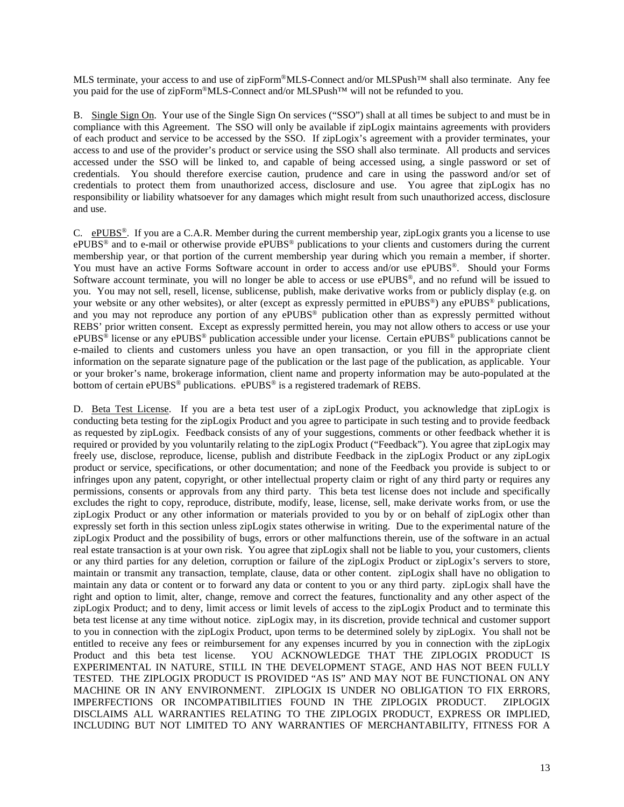MLS terminate, your access to and use of zipForm®MLS-Connect and/or MLSPush™ shall also terminate. Any fee you paid for the use of zipForm®MLS-Connect and/or MLSPush™ will not be refunded to you.

B. Single Sign On. Your use of the Single Sign On services ("SSO") shall at all times be subject to and must be in compliance with this Agreement. The SSO will only be available if zipLogix maintains agreements with providers of each product and service to be accessed by the SSO. If zipLogix's agreement with a provider terminates, your access to and use of the provider's product or service using the SSO shall also terminate. All products and services accessed under the SSO will be linked to, and capable of being accessed using, a single password or set of credentials. You should therefore exercise caution, prudence and care in using the password and/or set of credentials to protect them from unauthorized access, disclosure and use. You agree that zipLogix has no responsibility or liability whatsoever for any damages which might result from such unauthorized access, disclosure and use.

C.  $ePUBS^{\circ}$ . If you are a C.A.R. Member during the current membership year, zipLogix grants you a license to use ePUBS® and to e-mail or otherwise provide ePUBS® publications to your clients and customers during the current membership year, or that portion of the current membership year during which you remain a member, if shorter. You must have an active Forms Software account in order to access and/or use ePUBS®. Should your Forms Software account terminate, you will no longer be able to access or use ePUBS®, and no refund will be issued to you. You may not sell, resell, license, sublicense, publish, make derivative works from or publicly display (e.g. on your website or any other websites), or alter (except as expressly permitted in ePUBS<sup>®</sup>) any ePUBS<sup>®</sup> publications, and you may not reproduce any portion of any ePUBS<sup>®</sup> publication other than as expressly permitted without REBS' prior written consent. Except as expressly permitted herein, you may not allow others to access or use your ePUBS® license or any ePUBS® publication accessible under your license. Certain ePUBS® publications cannot be e-mailed to clients and customers unless you have an open transaction, or you fill in the appropriate client information on the separate signature page of the publication or the last page of the publication, as applicable. Your or your broker's name, brokerage information, client name and property information may be auto-populated at the bottom of certain ePUBS<sup>®</sup> publications. ePUBS<sup>®</sup> is a registered trademark of REBS.

D. Beta Test License. If you are a beta test user of a zipLogix Product, you acknowledge that zipLogix is conducting beta testing for the zipLogix Product and you agree to participate in such testing and to provide feedback as requested by zipLogix. Feedback consists of any of your suggestions, comments or other feedback whether it is required or provided by you voluntarily relating to the zipLogix Product ("Feedback"). You agree that zipLogix may freely use, disclose, reproduce, license, publish and distribute Feedback in the zipLogix Product or any zipLogix product or service, specifications, or other documentation; and none of the Feedback you provide is subject to or infringes upon any patent, copyright, or other intellectual property claim or right of any third party or requires any permissions, consents or approvals from any third party. This beta test license does not include and specifically excludes the right to copy, reproduce, distribute, modify, lease, license, sell, make derivate works from, or use the zipLogix Product or any other information or materials provided to you by or on behalf of zipLogix other than expressly set forth in this section unless zipLogix states otherwise in writing. Due to the experimental nature of the zipLogix Product and the possibility of bugs, errors or other malfunctions therein, use of the software in an actual real estate transaction is at your own risk. You agree that zipLogix shall not be liable to you, your customers, clients or any third parties for any deletion, corruption or failure of the zipLogix Product or zipLogix's servers to store, maintain or transmit any transaction, template, clause, data or other content. zipLogix shall have no obligation to maintain any data or content or to forward any data or content to you or any third party. zipLogix shall have the right and option to limit, alter, change, remove and correct the features, functionality and any other aspect of the zipLogix Product; and to deny, limit access or limit levels of access to the zipLogix Product and to terminate this beta test license at any time without notice. zipLogix may, in its discretion, provide technical and customer support to you in connection with the zipLogix Product, upon terms to be determined solely by zipLogix. You shall not be entitled to receive any fees or reimbursement for any expenses incurred by you in connection with the zipLogix Product and this beta test license. YOU ACKNOWLEDGE THAT THE ZIPLOGIX PRODUCT IS EXPERIMENTAL IN NATURE, STILL IN THE DEVELOPMENT STAGE, AND HAS NOT BEEN FULLY TESTED. THE ZIPLOGIX PRODUCT IS PROVIDED "AS IS" AND MAY NOT BE FUNCTIONAL ON ANY MACHINE OR IN ANY ENVIRONMENT. ZIPLOGIX IS UNDER NO OBLIGATION TO FIX ERRORS, IMPERFECTIONS OR INCOMPATIBILITIES FOUND IN THE ZIPLOGIX PRODUCT. ZIPLOGIX DISCLAIMS ALL WARRANTIES RELATING TO THE ZIPLOGIX PRODUCT, EXPRESS OR IMPLIED, INCLUDING BUT NOT LIMITED TO ANY WARRANTIES OF MERCHANTABILITY, FITNESS FOR A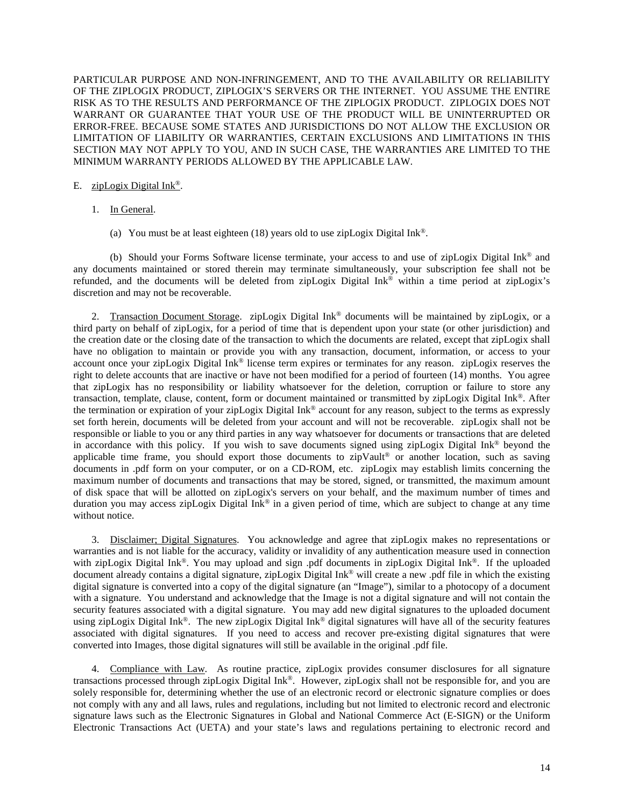PARTICULAR PURPOSE AND NON-INFRINGEMENT, AND TO THE AVAILABILITY OR RELIABILITY OF THE ZIPLOGIX PRODUCT, ZIPLOGIX'S SERVERS OR THE INTERNET. YOU ASSUME THE ENTIRE RISK AS TO THE RESULTS AND PERFORMANCE OF THE ZIPLOGIX PRODUCT. ZIPLOGIX DOES NOT WARRANT OR GUARANTEE THAT YOUR USE OF THE PRODUCT WILL BE UNINTERRUPTED OR ERROR-FREE. BECAUSE SOME STATES AND JURISDICTIONS DO NOT ALLOW THE EXCLUSION OR LIMITATION OF LIABILITY OR WARRANTIES, CERTAIN EXCLUSIONS AND LIMITATIONS IN THIS SECTION MAY NOT APPLY TO YOU, AND IN SUCH CASE, THE WARRANTIES ARE LIMITED TO THE MINIMUM WARRANTY PERIODS ALLOWED BY THE APPLICABLE LAW.

#### E. zipLogix Digital Ink®.

- 1. In General.
	- (a) You must be at least eighteen (18) years old to use zipLogix Digital Ink<sup>®</sup>.

(b) Should your Forms Software license terminate, your access to and use of zipLogix Digital Ink® and any documents maintained or stored therein may terminate simultaneously, your subscription fee shall not be refunded, and the documents will be deleted from zipLogix Digital Ink® within a time period at zipLogix's discretion and may not be recoverable.

2. Transaction Document Storage. zipLogix Digital Ink® documents will be maintained by zipLogix, or a third party on behalf of zipLogix, for a period of time that is dependent upon your state (or other jurisdiction) and the creation date or the closing date of the transaction to which the documents are related, except that zipLogix shall have no obligation to maintain or provide you with any transaction, document, information, or access to your account once your zipLogix Digital Ink® license term expires or terminates for any reason. zipLogix reserves the right to delete accounts that are inactive or have not been modified for a period of fourteen (14) months. You agree that zipLogix has no responsibility or liability whatsoever for the deletion, corruption or failure to store any transaction, template, clause, content, form or document maintained or transmitted by zipLogix Digital Ink®. After the termination or expiration of your zipLogix Digital Ink® account for any reason, subject to the terms as expressly set forth herein, documents will be deleted from your account and will not be recoverable. zipLogix shall not be responsible or liable to you or any third parties in any way whatsoever for documents or transactions that are deleted in accordance with this policy. If you wish to save documents signed using zipLogix Digital Ink® beyond the applicable time frame, you should export those documents to zipVault<sup>®</sup> or another location, such as saving documents in .pdf form on your computer, or on a CD-ROM, etc. zipLogix may establish limits concerning the maximum number of documents and transactions that may be stored, signed, or transmitted, the maximum amount of disk space that will be allotted on zipLogix's servers on your behalf, and the maximum number of times and duration you may access zipLogix Digital Ink® in a given period of time, which are subject to change at any time without notice.

3. Disclaimer; Digital Signatures. You acknowledge and agree that zipLogix makes no representations or warranties and is not liable for the accuracy, validity or invalidity of any authentication measure used in connection with zipLogix Digital Ink®. You may upload and sign .pdf documents in zipLogix Digital Ink®. If the uploaded document already contains a digital signature, zipLogix Digital Ink® will create a new .pdf file in which the existing digital signature is converted into a copy of the digital signature (an "Image"), similar to a photocopy of a document with a signature. You understand and acknowledge that the Image is not a digital signature and will not contain the security features associated with a digital signature. You may add new digital signatures to the uploaded document using zipLogix Digital Ink<sup>®</sup>. The new zipLogix Digital Ink<sup>®</sup> digital signatures will have all of the security features associated with digital signatures. If you need to access and recover pre-existing digital signatures that were converted into Images, those digital signatures will still be available in the original .pdf file.

4. Compliance with Law. As routine practice, zipLogix provides consumer disclosures for all signature transactions processed through zipLogix Digital Ink®. However, zipLogix shall not be responsible for, and you are solely responsible for, determining whether the use of an electronic record or electronic signature complies or does not comply with any and all laws, rules and regulations, including but not limited to electronic record and electronic signature laws such as the Electronic Signatures in Global and National Commerce Act (E-SIGN) or the Uniform Electronic Transactions Act (UETA) and your state's laws and regulations pertaining to electronic record and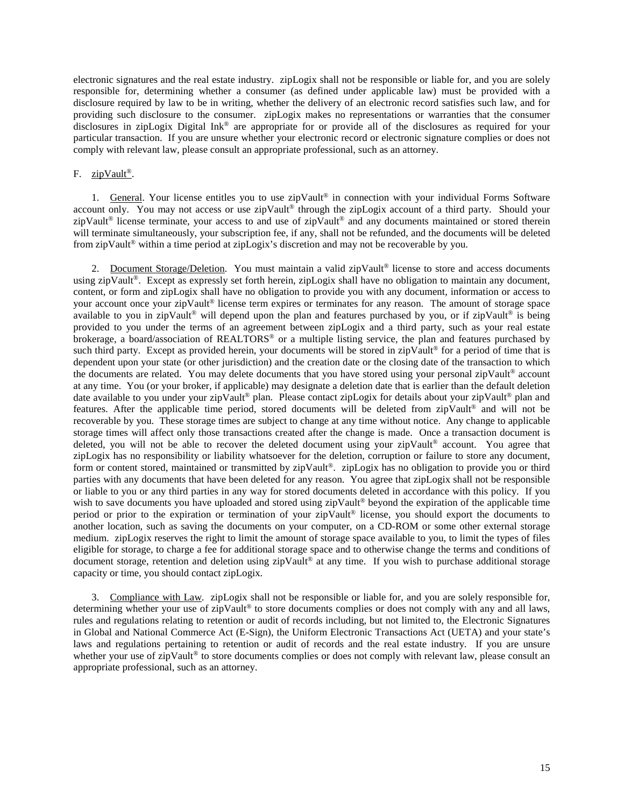electronic signatures and the real estate industry. zipLogix shall not be responsible or liable for, and you are solely responsible for, determining whether a consumer (as defined under applicable law) must be provided with a disclosure required by law to be in writing, whether the delivery of an electronic record satisfies such law, and for providing such disclosure to the consumer. zipLogix makes no representations or warranties that the consumer disclosures in zipLogix Digital Ink® are appropriate for or provide all of the disclosures as required for your particular transaction. If you are unsure whether your electronic record or electronic signature complies or does not comply with relevant law, please consult an appropriate professional, such as an attorney.

#### F. zipVault®.

1. General. Your license entitles you to use zipVault® in connection with your individual Forms Software account only. You may not access or use zipVault<sup>®</sup> through the zipLogix account of a third party. Should your zipVault® license terminate, your access to and use of zipVault® and any documents maintained or stored therein will terminate simultaneously, your subscription fee, if any, shall not be refunded, and the documents will be deleted from zipVault® within a time period at zipLogix's discretion and may not be recoverable by you.

2. Document Storage/Deletion. You must maintain a valid zipVault<sup>®</sup> license to store and access documents using zipVault<sup>®</sup>. Except as expressly set forth herein, zipLogix shall have no obligation to maintain any document, content, or form and zipLogix shall have no obligation to provide you with any document, information or access to your account once your zipVault® license term expires or terminates for any reason. The amount of storage space available to you in zipVault<sup>®</sup> will depend upon the plan and features purchased by you, or if zipVault<sup>®</sup> is being provided to you under the terms of an agreement between zipLogix and a third party, such as your real estate brokerage, a board/association of REALTORS® or a multiple listing service, the plan and features purchased by such third party. Except as provided herein, your documents will be stored in zipVault<sup>®</sup> for a period of time that is dependent upon your state (or other jurisdiction) and the creation date or the closing date of the transaction to which the documents are related. You may delete documents that you have stored using your personal zipVault® account at any time. You (or your broker, if applicable) may designate a deletion date that is earlier than the default deletion date available to you under your zipVault® plan. Please contact zipLogix for details about your zipVault® plan and features. After the applicable time period, stored documents will be deleted from zipVault® and will not be recoverable by you. These storage times are subject to change at any time without notice. Any change to applicable storage times will affect only those transactions created after the change is made. Once a transaction document is deleted, you will not be able to recover the deleted document using your zipVault® account. You agree that zipLogix has no responsibility or liability whatsoever for the deletion, corruption or failure to store any document, form or content stored, maintained or transmitted by zipVault®. zipLogix has no obligation to provide you or third parties with any documents that have been deleted for any reason. You agree that zipLogix shall not be responsible or liable to you or any third parties in any way for stored documents deleted in accordance with this policy. If you wish to save documents you have uploaded and stored using zipVault<sup>®</sup> beyond the expiration of the applicable time period or prior to the expiration or termination of your zipVault® license, you should export the documents to another location, such as saving the documents on your computer, on a CD-ROM or some other external storage medium. zipLogix reserves the right to limit the amount of storage space available to you, to limit the types of files eligible for storage, to charge a fee for additional storage space and to otherwise change the terms and conditions of document storage, retention and deletion using zipVault® at any time. If you wish to purchase additional storage capacity or time, you should contact zipLogix.

3. Compliance with Law. zipLogix shall not be responsible or liable for, and you are solely responsible for, determining whether your use of zipVault® to store documents complies or does not comply with any and all laws, rules and regulations relating to retention or audit of records including, but not limited to, the Electronic Signatures in Global and National Commerce Act (E-Sign), the Uniform Electronic Transactions Act (UETA) and your state's laws and regulations pertaining to retention or audit of records and the real estate industry. If you are unsure whether your use of zipVault<sup>®</sup> to store documents complies or does not comply with relevant law, please consult an appropriate professional, such as an attorney.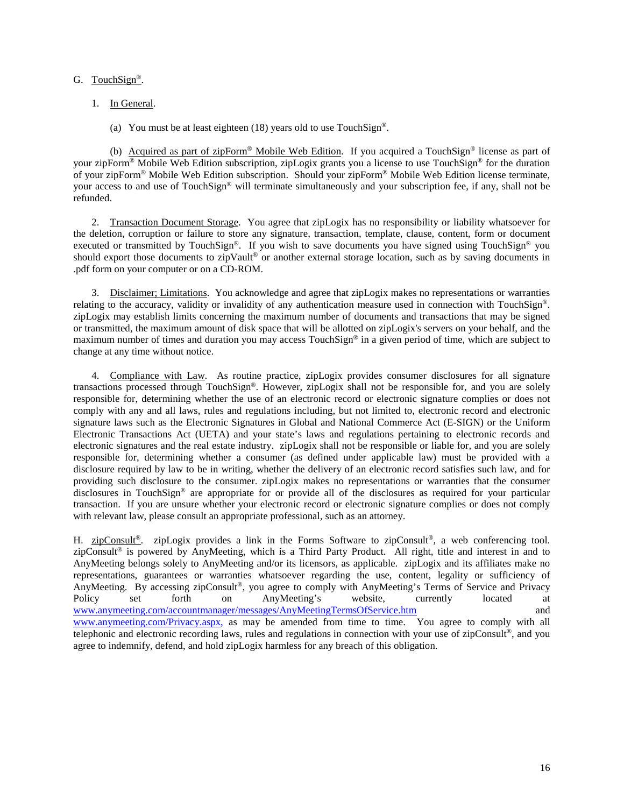#### G. TouchSign®.

- 1. In General.
	- (a) You must be at least eighteen (18) years old to use TouchSign®.

(b) Acquired as part of zipForm® Mobile Web Edition. If you acquired a TouchSign® license as part of your zipForm® Mobile Web Edition subscription, zipLogix grants you a license to use TouchSign® for the duration of your zipForm® Mobile Web Edition subscription. Should your zipForm® Mobile Web Edition license terminate, your access to and use of TouchSign® will terminate simultaneously and your subscription fee, if any, shall not be refunded.

2. Transaction Document Storage. You agree that zipLogix has no responsibility or liability whatsoever for the deletion, corruption or failure to store any signature, transaction, template, clause, content, form or document executed or transmitted by TouchSign®. If you wish to save documents you have signed using TouchSign® you should export those documents to zipVault® or another external storage location, such as by saving documents in .pdf form on your computer or on a CD-ROM.

3. Disclaimer; Limitations. You acknowledge and agree that zipLogix makes no representations or warranties relating to the accuracy, validity or invalidity of any authentication measure used in connection with TouchSign®. zipLogix may establish limits concerning the maximum number of documents and transactions that may be signed or transmitted, the maximum amount of disk space that will be allotted on zipLogix's servers on your behalf, and the maximum number of times and duration you may access TouchSign® in a given period of time, which are subject to change at any time without notice.

4. Compliance with Law. As routine practice, zipLogix provides consumer disclosures for all signature transactions processed through TouchSign®. However, zipLogix shall not be responsible for, and you are solely responsible for, determining whether the use of an electronic record or electronic signature complies or does not comply with any and all laws, rules and regulations including, but not limited to, electronic record and electronic signature laws such as the Electronic Signatures in Global and National Commerce Act (E-SIGN) or the Uniform Electronic Transactions Act (UETA) and your state's laws and regulations pertaining to electronic records and electronic signatures and the real estate industry. zipLogix shall not be responsible or liable for, and you are solely responsible for, determining whether a consumer (as defined under applicable law) must be provided with a disclosure required by law to be in writing, whether the delivery of an electronic record satisfies such law, and for providing such disclosure to the consumer. zipLogix makes no representations or warranties that the consumer disclosures in TouchSign® are appropriate for or provide all of the disclosures as required for your particular transaction. If you are unsure whether your electronic record or electronic signature complies or does not comply with relevant law, please consult an appropriate professional, such as an attorney.

H. zipConsult<sup>®</sup>. zipLogix provides a link in the Forms Software to zipConsult<sup>®</sup>, a web conferencing tool. zipConsult® is powered by AnyMeeting, which is a Third Party Product. All right, title and interest in and to AnyMeeting belongs solely to AnyMeeting and/or its licensors, as applicable. zipLogix and its affiliates make no representations, guarantees or warranties whatsoever regarding the use, content, legality or sufficiency of AnyMeeting. By accessing zipConsult®, you agree to comply with AnyMeeting's Terms of Service and Privacy Policy set forth on AnyMeeting's website, currently located at [www.anymeeting.com/accountmanager/messages/AnyMeetingTermsOfService.htm](http://www.anymeeting.com/accountmanager/messages/AnyMeetingTermsOfService.htm) and [www.anymeeting.com/Privacy.aspx,](http://www.anymeeting.com/Privacy.aspx) as may be amended from time to time. You agree to comply with all telephonic and electronic recording laws, rules and regulations in connection with your use of zipConsult®, and you agree to indemnify, defend, and hold zipLogix harmless for any breach of this obligation.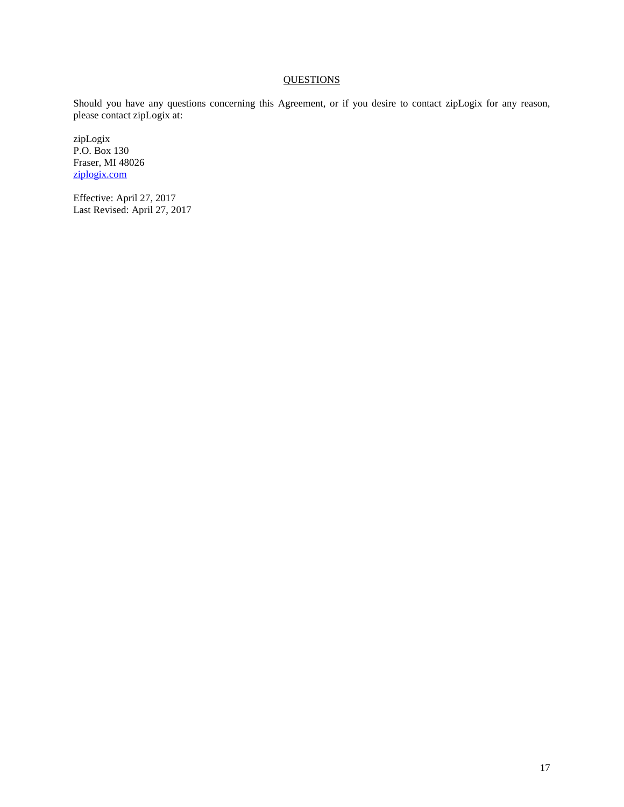## **QUESTIONS**

Should you have any questions concerning this Agreement, or if you desire to contact zipLogix for any reason, please contact zipLogix at:

zipLogix P.O. Box 130 Fraser, MI 48026 [ziplogix.com](https://ziplogix.com/)

Effective: April 27, 2017 Last Revised: April 27, 2017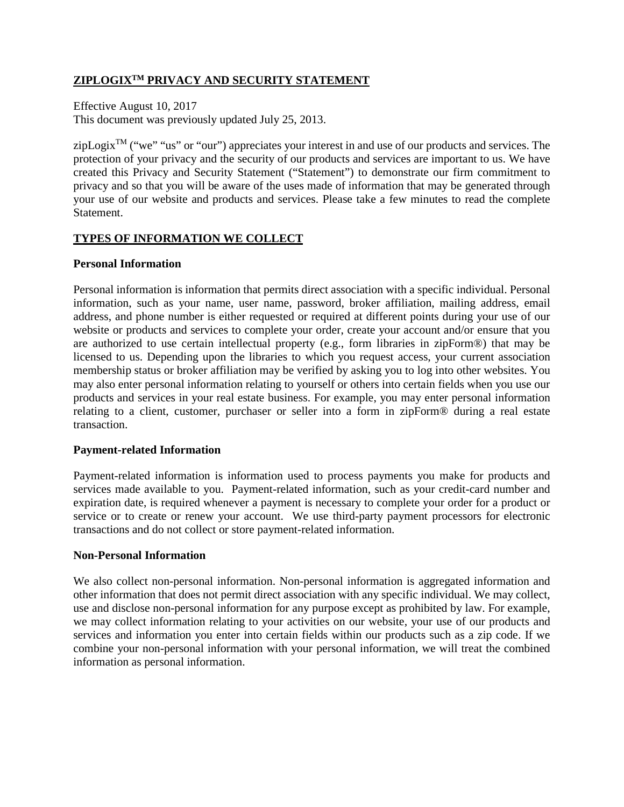# **ZIPLOGIXTM PRIVACY AND SECURITY STATEMENT**

Effective August 10, 2017 This document was previously updated July 25, 2013.

 $zipLogix^{TM}$  ("we" "us" or "our") appreciates your interest in and use of our products and services. The protection of your privacy and the security of our products and services are important to us. We have created this Privacy and Security Statement ("Statement") to demonstrate our firm commitment to privacy and so that you will be aware of the uses made of information that may be generated through your use of our website and products and services. Please take a few minutes to read the complete **Statement** 

# **TYPES OF INFORMATION WE COLLECT**

## **Personal Information**

Personal information is information that permits direct association with a specific individual. Personal information, such as your name, user name, password, broker affiliation, mailing address, email address, and phone number is either requested or required at different points during your use of our website or products and services to complete your order, create your account and/or ensure that you are authorized to use certain intellectual property (e.g., form libraries in zipForm®) that may be licensed to us. Depending upon the libraries to which you request access, your current association membership status or broker affiliation may be verified by asking you to log into other websites. You may also enter personal information relating to yourself or others into certain fields when you use our products and services in your real estate business. For example, you may enter personal information relating to a client, customer, purchaser or seller into a form in zipForm® during a real estate transaction.

## **Payment-related Information**

Payment-related information is information used to process payments you make for products and services made available to you. Payment-related information, such as your credit-card number and expiration date, is required whenever a payment is necessary to complete your order for a product or service or to create or renew your account. We use third-party payment processors for electronic transactions and do not collect or store payment-related information.

## **Non-Personal Information**

We also collect non-personal information. Non-personal information is aggregated information and other information that does not permit direct association with any specific individual. We may collect, use and disclose non-personal information for any purpose except as prohibited by law. For example, we may collect information relating to your activities on our website, your use of our products and services and information you enter into certain fields within our products such as a zip code. If we combine your non-personal information with your personal information, we will treat the combined information as personal information.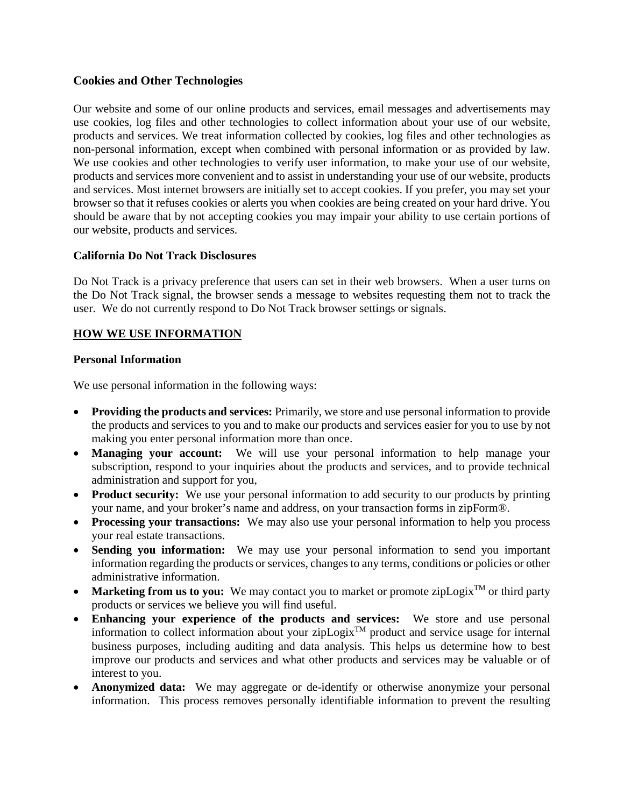# **Cookies and Other Technologies**

Our website and some of our online products and services, email messages and advertisements may use cookies, log files and other technologies to collect information about your use of our website, products and services. We treat information collected by cookies, log files and other technologies as non-personal information, except when combined with personal information or as provided by law. We use cookies and other technologies to verify user information, to make your use of our website, products and services more convenient and to assist in understanding your use of our website, products and services. Most internet browsers are initially set to accept cookies. If you prefer, you may set your browser so that it refuses cookies or alerts you when cookies are being created on your hard drive. You should be aware that by not accepting cookies you may impair your ability to use certain portions of our website, products and services.

# **California Do Not Track Disclosures**

Do Not Track is a privacy preference that users can set in their web browsers. When a user turns on the Do Not Track signal, the browser sends a message to websites requesting them not to track the user. We do not currently respond to Do Not Track browser settings or signals.

# **HOW WE USE INFORMATION**

## **Personal Information**

We use personal information in the following ways:

- **Providing the products and services:** Primarily, we store and use personal information to provide the products and services to you and to make our products and services easier for you to use by not making you enter personal information more than once.
- **Managing your account:** We will use your personal information to help manage your subscription, respond to your inquiries about the products and services, and to provide technical administration and support for you,
- **Product security:** We use your personal information to add security to our products by printing your name, and your broker's name and address, on your transaction forms in zipForm®.
- **Processing your transactions:** We may also use your personal information to help you process your real estate transactions.
- **Sending you information:** We may use your personal information to send you important information regarding the products or services, changes to any terms, conditions or policies or other administrative information.
- **Marketing from us to you:** We may contact you to market or promote zipLogix<sup>TM</sup> or third party products or services we believe you will find useful.
- **Enhancing your experience of the products and services:** We store and use personal information to collect information about your zipLogix<sup>TM</sup> product and service usage for internal business purposes, including auditing and data analysis. This helps us determine how to best improve our products and services and what other products and services may be valuable or of interest to you.
- **Anonymized data:** We may aggregate or de-identify or otherwise anonymize your personal information. This process removes personally identifiable information to prevent the resulting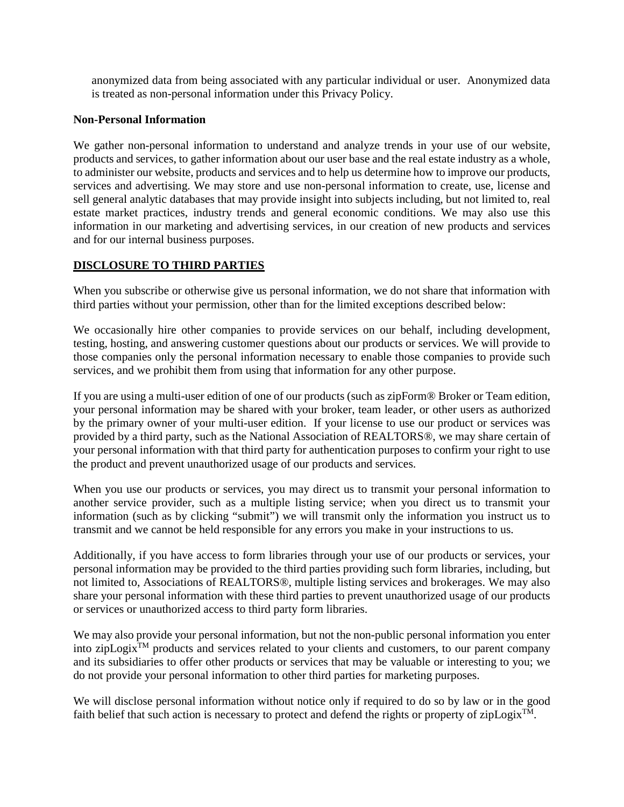anonymized data from being associated with any particular individual or user. Anonymized data is treated as non-personal information under this Privacy Policy.

## **Non-Personal Information**

We gather non-personal information to understand and analyze trends in your use of our website, products and services, to gather information about our user base and the real estate industry as a whole, to administer our website, products and services and to help us determine how to improve our products, services and advertising. We may store and use non-personal information to create, use, license and sell general analytic databases that may provide insight into subjects including, but not limited to, real estate market practices, industry trends and general economic conditions. We may also use this information in our marketing and advertising services, in our creation of new products and services and for our internal business purposes.

# **DISCLOSURE TO THIRD PARTIES**

When you subscribe or otherwise give us personal information, we do not share that information with third parties without your permission, other than for the limited exceptions described below:

We occasionally hire other companies to provide services on our behalf, including development, testing, hosting, and answering customer questions about our products or services. We will provide to those companies only the personal information necessary to enable those companies to provide such services, and we prohibit them from using that information for any other purpose.

If you are using a multi-user edition of one of our products (such as zipForm® Broker or Team edition, your personal information may be shared with your broker, team leader, or other users as authorized by the primary owner of your multi-user edition. If your license to use our product or services was provided by a third party, such as the National Association of REALTORS®, we may share certain of your personal information with that third party for authentication purposes to confirm your right to use the product and prevent unauthorized usage of our products and services.

When you use our products or services, you may direct us to transmit your personal information to another service provider, such as a multiple listing service; when you direct us to transmit your information (such as by clicking "submit") we will transmit only the information you instruct us to transmit and we cannot be held responsible for any errors you make in your instructions to us.

Additionally, if you have access to form libraries through your use of our products or services, your personal information may be provided to the third parties providing such form libraries, including, but not limited to, Associations of REALTORS®, multiple listing services and brokerages. We may also share your personal information with these third parties to prevent unauthorized usage of our products or services or unauthorized access to third party form libraries.

We may also provide your personal information, but not the non-public personal information you enter into zipLogix $T_M$  products and services related to your clients and customers, to our parent company and its subsidiaries to offer other products or services that may be valuable or interesting to you; we do not provide your personal information to other third parties for marketing purposes.

We will disclose personal information without notice only if required to do so by law or in the good faith belief that such action is necessary to protect and defend the rights or property of zipLogix<sup>TM</sup>.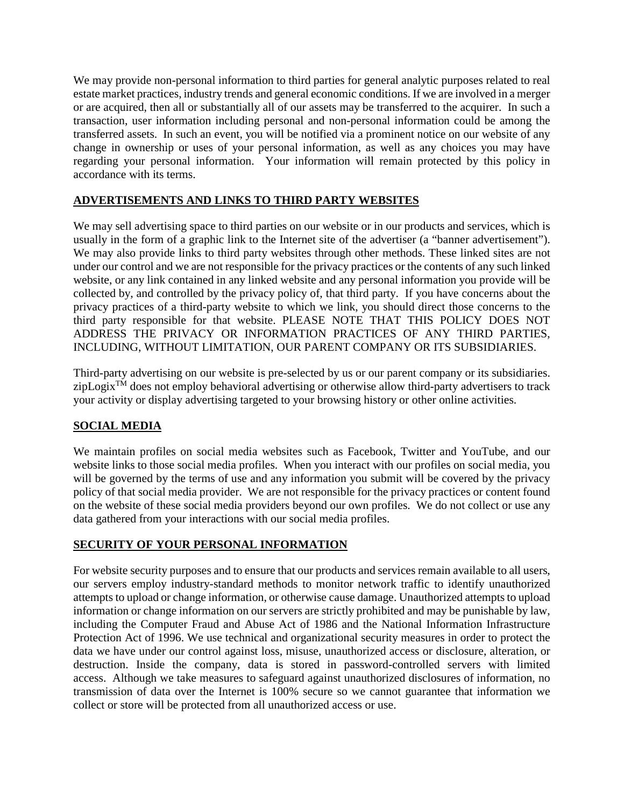We may provide non-personal information to third parties for general analytic purposes related to real estate market practices, industry trends and general economic conditions. If we are involved in a merger or are acquired, then all or substantially all of our assets may be transferred to the acquirer. In such a transaction, user information including personal and non-personal information could be among the transferred assets. In such an event, you will be notified via a prominent notice on our website of any change in ownership or uses of your personal information, as well as any choices you may have regarding your personal information. Your information will remain protected by this policy in accordance with its terms.

# **ADVERTISEMENTS AND LINKS TO THIRD PARTY WEBSITES**

We may sell advertising space to third parties on our website or in our products and services, which is usually in the form of a graphic link to the Internet site of the advertiser (a "banner advertisement"). We may also provide links to third party websites through other methods. These linked sites are not under our control and we are not responsible for the privacy practices or the contents of any such linked website, or any link contained in any linked website and any personal information you provide will be collected by, and controlled by the privacy policy of, that third party. If you have concerns about the privacy practices of a third-party website to which we link, you should direct those concerns to the third party responsible for that website. PLEASE NOTE THAT THIS POLICY DOES NOT ADDRESS THE PRIVACY OR INFORMATION PRACTICES OF ANY THIRD PARTIES, INCLUDING, WITHOUT LIMITATION, OUR PARENT COMPANY OR ITS SUBSIDIARIES.

Third-party advertising on our website is pre-selected by us or our parent company or its subsidiaries.  $zipLogix^{TM}$  does not employ behavioral advertising or otherwise allow third-party advertisers to track your activity or display advertising targeted to your browsing history or other online activities.

# **SOCIAL MEDIA**

We maintain profiles on social media websites such as Facebook, Twitter and YouTube, and our website links to those social media profiles. When you interact with our profiles on social media, you will be governed by the terms of use and any information you submit will be covered by the privacy policy of that social media provider. We are not responsible for the privacy practices or content found on the website of these social media providers beyond our own profiles. We do not collect or use any data gathered from your interactions with our social media profiles.

# **SECURITY OF YOUR PERSONAL INFORMATION**

For website security purposes and to ensure that our products and services remain available to all users, our servers employ industry-standard methods to monitor network traffic to identify unauthorized attempts to upload or change information, or otherwise cause damage. Unauthorized attempts to upload information or change information on our servers are strictly prohibited and may be punishable by law, including the Computer Fraud and Abuse Act of 1986 and the National Information Infrastructure Protection Act of 1996. We use technical and organizational security measures in order to protect the data we have under our control against loss, misuse, unauthorized access or disclosure, alteration, or destruction. Inside the company, data is stored in password-controlled servers with limited access. Although we take measures to safeguard against unauthorized disclosures of information, no transmission of data over the Internet is 100% secure so we cannot guarantee that information we collect or store will be protected from all unauthorized access or use.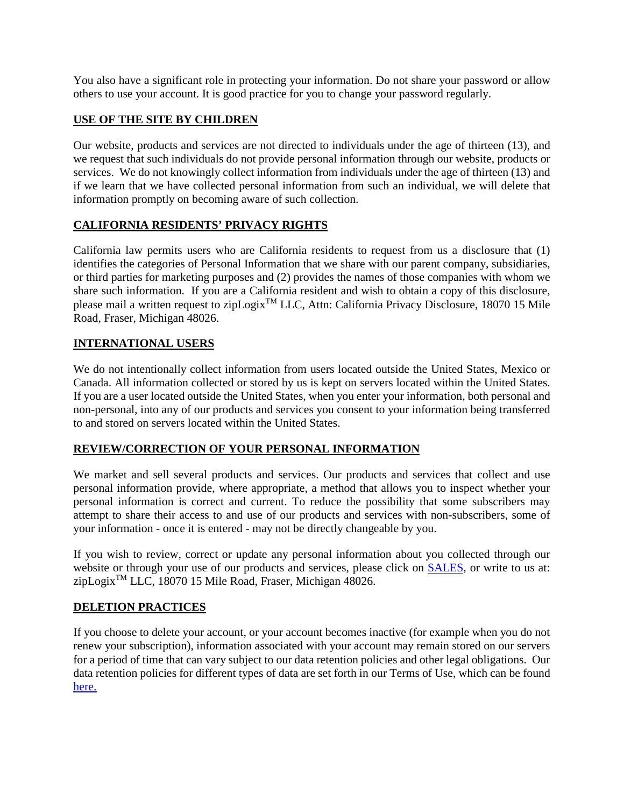You also have a significant role in protecting your information. Do not share your password or allow others to use your account. It is good practice for you to change your password regularly.

# **USE OF THE SITE BY CHILDREN**

Our website, products and services are not directed to individuals under the age of thirteen (13), and we request that such individuals do not provide personal information through our website, products or services. We do not knowingly collect information from individuals under the age of thirteen (13) and if we learn that we have collected personal information from such an individual, we will delete that information promptly on becoming aware of such collection.

# **CALIFORNIA RESIDENTS' PRIVACY RIGHTS**

California law permits users who are California residents to request from us a disclosure that (1) identifies the categories of Personal Information that we share with our parent company, subsidiaries, or third parties for marketing purposes and (2) provides the names of those companies with whom we share such information. If you are a California resident and wish to obtain a copy of this disclosure, please mail a written request to zipLogix<sup>TM</sup> LLC, Attn: California Privacy Disclosure, 18070 15 Mile Road, Fraser, Michigan 48026.

# **INTERNATIONAL USERS**

We do not intentionally collect information from users located outside the United States, Mexico or Canada. All information collected or stored by us is kept on servers located within the United States. If you are a user located outside the United States, when you enter your information, both personal and non-personal, into any of our products and services you consent to your information being transferred to and stored on servers located within the United States.

# **REVIEW/CORRECTION OF YOUR PERSONAL INFORMATION**

We market and sell several products and services. Our products and services that collect and use personal information provide, where appropriate, a method that allows you to inspect whether your personal information is correct and current. To reduce the possibility that some subscribers may attempt to share their access to and use of our products and services with non-subscribers, some of your information - once it is entered - may not be directly changeable by you.

If you wish to review, correct or update any personal information about you collected through our website or through your use of our products and services, please click on **SALES**, or write to us at: zipLogix<sup>™</sup> LLC, 18070 15 Mile Road, Fraser, Michigan 48026.

# **DELETION PRACTICES**

If you choose to delete your account, or your account becomes inactive (for example when you do not renew your subscription), information associated with your account may remain stored on our servers for a period of time that can vary subject to our data retention policies and other legal obligations. Our data retention policies for different types of data are set forth in our Terms of Use, which can be found [here.](https://ziplogix.com/eula/ziplogixeula.pdf)